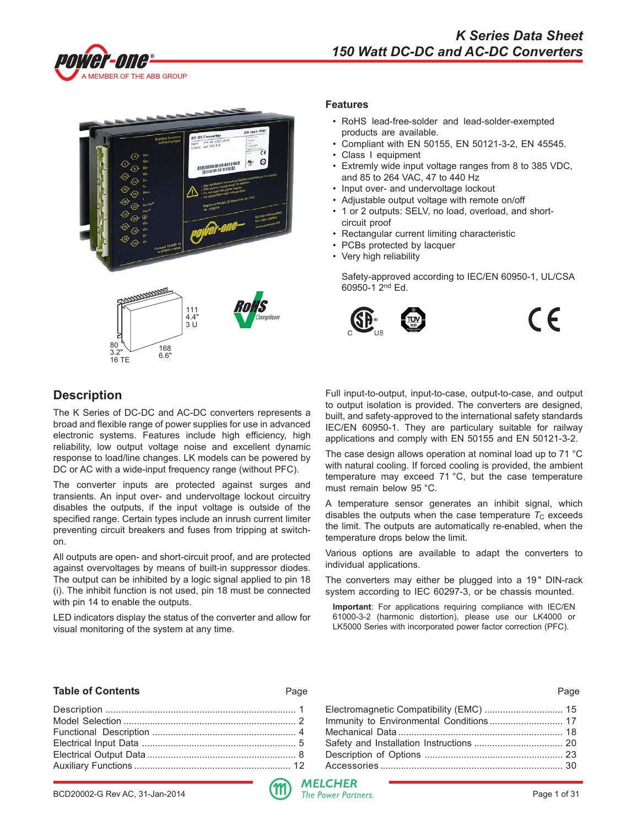



#### **Features**

- RoHS lead-free-solder and lead-solder-exempted products are available.
- Compliant with EN 50155, EN 50121-3-2, EN 45545.
- Class I equipment
- Extremly wide input voltage ranges from 8 to 385 VDC, and 85 to 264 VAC, 47 to 440 Hz
- Input over- and undervoltage lockout
- Adjustable output voltage with remote on/off
- 1 or 2 outputs: SELV, no load, overload, and shortcircuit proof
- Rectangular current limiting characteristic
- PCBs protected by lacquer
- Very high reliability

Safety-approved according to IEC/EN 60950-1, UL/CSA 60950-1 2nd Ed.



 $\epsilon$ 

# **Description**

The K Series of DC-DC and AC-DC converters represents a broad and flexible range of power supplies for use in advanced electronic systems. Features include high efficiency, high reliability, low output voltage noise and excellent dynamic response to load/line changes. LK models can be powered by DC or AC with a wide-input frequency range (without PFC).

The converter inputs are protected against surges and transients. An input over- and undervoltage lockout circuitry disables the outputs, if the input voltage is outside of the specified range. Certain types include an inrush current limiter preventing circuit breakers and fuses from tripping at switchon.

All outputs are open- and short-circuit proof, and are protected against overvoltages by means of built-in suppressor diodes. The output can be inhibited by a logic signal applied to pin 18 (i). The inhibit function is not used, pin 18 must be connected with pin 14 to enable the outputs.

LED indicators display the status of the converter and allow for visual monitoring of the system at any time.

Full input-to-output, input-to-case, output-to-case, and output to output isolation is provided. The converters are designed, built, and safety-approved to the international safety standards IEC/EN 60950-1. They are particulary suitable for railway applications and comply with EN 50155 and EN 50121-3-2.

The case design allows operation at nominal load up to 71 °C with natural cooling. If forced cooling is provided, the ambient temperature may exceed 71 °C, but the case temperature must remain below 95 °C.

A temperature sensor generates an inhibit signal, which disables the outputs when the case temperature  $T<sub>C</sub>$  exceeds the limit. The outputs are automatically re-enabled, when the temperature drops below the limit.

Various options are available to adapt the converters to individual applications.

The converters may either be plugged into a 19" DIN-rack system according to IEC 60297-3, or be chassis mounted.

**Important**: For applications requiring compliance with IEC/EN 61000-3-2 (harmonic distortion), please use our LK4000 or LK5000 Series with incorporated power factor correction (PFC).

#### **Table of Contents** Page Page

| Electromagnetic Compatibility (EMC)  15 |  |
|-----------------------------------------|--|
| Immunity to Environmental Conditions 17 |  |
|                                         |  |
|                                         |  |
|                                         |  |
|                                         |  |
|                                         |  |

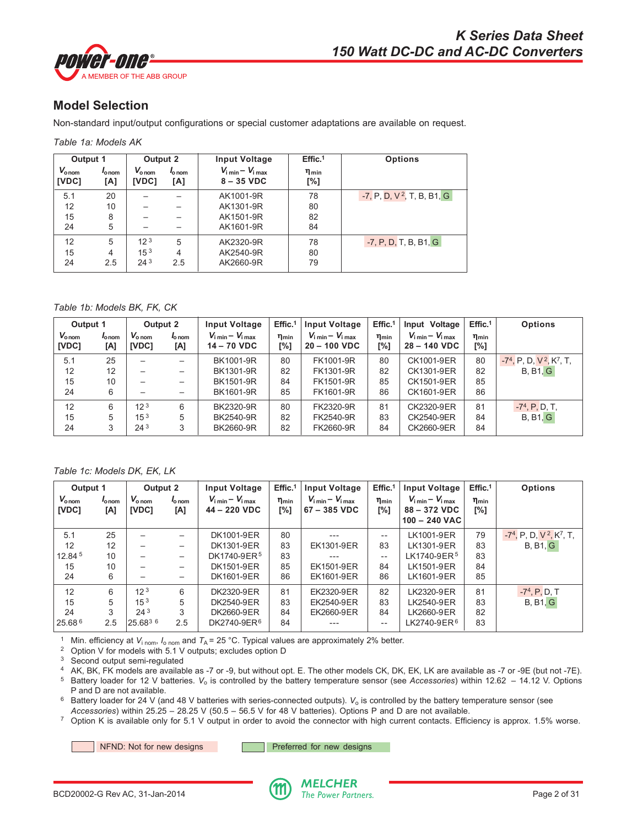<span id="page-1-0"></span>

# **Model Selection**

Non-standard input/output configurations or special customer adaptations are available on request.

| Table 1a: Models AK |  |
|---------------------|--|
|---------------------|--|

|                            | Output 1<br>Output 2             |                             | <b>Input Voltage</b>      | Effic. <sup>1</sup>                                   | <b>Options</b>      |                              |
|----------------------------|----------------------------------|-----------------------------|---------------------------|-------------------------------------------------------|---------------------|------------------------------|
| $V_{\text{onom}}$<br>[VDC] | <i>l</i> <sub>o nom</sub><br>[A] | $V_{\text{o nom}}$<br>[VDC] | l <sub>o nom</sub><br>[A] | $V_{\text{i min}} - V_{\text{i max}}$<br>$8 - 35$ VDC | $\eta_{min}$<br>[%] |                              |
| 5.1                        | 20                               |                             |                           | AK1001-9R                                             | 78                  | $-7, P, D, V^2, T, B, B1, G$ |
| 12                         | 10                               |                             |                           | AK1301-9R                                             | 80                  |                              |
| 15                         | 8                                |                             |                           | AK1501-9R                                             | 82                  |                              |
| 24                         | 5                                |                             |                           | AK1601-9R                                             | 84                  |                              |
| 12                         | 5                                | 12 <sup>3</sup>             | 5                         | AK2320-9R                                             | 78                  | $-7, P, D, T, B, B1, G$      |
| 15                         | 4                                | 15 <sup>3</sup>             | 4                         | AK2540-9R                                             | 80                  |                              |
| 24                         | 2.5                              | 24 <sup>3</sup>             | 2.5                       | AK2660-9R                                             | 79                  |                              |

#### *Table 1b: Models BK, FK, CK*

| Output 1                   |                        | Output 2                    |                                  | <b>Input Voltage</b>                                   | Effic. <sup>1</sup> | <b>Input Voltage</b>                                            | Effic. <sup>1</sup> | Input Voltage                                           | Effic. <sup>1</sup> | <b>Options</b>                                     |
|----------------------------|------------------------|-----------------------------|----------------------------------|--------------------------------------------------------|---------------------|-----------------------------------------------------------------|---------------------|---------------------------------------------------------|---------------------|----------------------------------------------------|
| $V_{\text{onom}}$<br>[VDC] | $I_{\rm O}$ nom<br>[A] | $V_{\text{o nom}}$<br>[VDC] | <i>l</i> <sub>o nom</sub><br>[A] | $V_{\text{i min}} - V_{\text{i max}}$<br>$14 - 70$ VDC | $\eta_{min}$<br>[%] | $V_{\text{i min}} - V_{\text{i max}}$<br>$20 - 100 \text{ VDC}$ | $n_{min}$<br>[%]    | $V_{\text{i min}} - V_{\text{i max}}$<br>$28 - 140$ VDC | $n_{min}$<br>[%]    |                                                    |
| 5.1                        | 25                     | $\overline{\phantom{0}}$    | —                                | BK1001-9R                                              | 80                  | FK1001-9R                                                       | 80                  | CK1001-9ER                                              | 80                  | $-74$ , P, D, V <sup>2</sup> , K <sup>7</sup> , T, |
| 12                         | 12                     |                             | —                                | BK1301-9R                                              | 82                  | FK1301-9R                                                       | 82                  | CK1301-9ER                                              | 82                  | B, B1, G                                           |
| 15                         | 10                     |                             | —                                | BK1501-9R                                              | 84                  | FK1501-9R                                                       | 85                  | CK1501-9ER                                              | 85                  |                                                    |
| 24                         | 6                      |                             |                                  | BK1601-9R                                              | 85                  | FK1601-9R                                                       | 86                  | CK1601-9ER                                              | 86                  |                                                    |
| 12                         | 6                      | 12 <sup>3</sup>             | 6                                | BK2320-9R                                              | 80                  | FK2320-9R                                                       | 81                  | CK2320-9ER                                              | 81                  | $-74$ , P, D, T,                                   |
| 15                         | 5                      | $15^{3}$                    | 5                                | BK2540-9R                                              | 82                  | FK2540-9R                                                       | 83                  | CK2540-9ER                                              | 84                  | B, B1, G                                           |
| 24                         | 3                      | 24 <sup>3</sup>             | 3                                | BK2660-9R                                              | 82                  | FK2660-9R                                                       | 84                  | CK2660-9ER                                              | 84                  |                                                    |

*Table 1c: Models DK, EK, LK*

| Output 1                   |                          | Output 2                    |                          | <b>Input Voltage</b>                                    | Effic. <sup>1</sup><br><b>Input Voltage</b> |                                                         | Effic. <sup>1</sup> | <b>Input Voltage</b>                                                       | Effic. <sup>1</sup> | <b>Options</b>                                     |
|----------------------------|--------------------------|-----------------------------|--------------------------|---------------------------------------------------------|---------------------------------------------|---------------------------------------------------------|---------------------|----------------------------------------------------------------------------|---------------------|----------------------------------------------------|
| $V_{\text{onom}}$<br>[VDC] | $I_{\rm o\, nom}$<br>[A] | $V_{\text{o nom}}$<br>[VDC] | $I_{\rm o\, nom}$<br>[A] | $V_{\text{i min}} - V_{\text{i max}}$<br>$44 - 220$ VDC | $\eta_{min}$<br>[%]                         | $V_{\text{i min}} - V_{\text{i max}}$<br>$67 - 385$ VDC | $\eta_{min}$<br>[%] | $V_{\text{i min}} - V_{\text{i max}}$<br>$88 - 372$ VDC<br>$100 - 240$ VAC | $\eta_{min}$<br>[%] |                                                    |
| 5.1                        | 25                       |                             |                          | DK1001-9ER                                              | 80                                          | ---                                                     | $- -$               | LK1001-9ER                                                                 | 79                  | $-74$ , P, D, V <sup>2</sup> , K <sup>7</sup> , T, |
| 12                         | 12                       |                             |                          | DK1301-9ER                                              | 83                                          | EK1301-9ER                                              | 83                  | LK1301-9ER                                                                 | 83                  | B, B1, G                                           |
| 12.845                     | 10                       |                             |                          | DK1740-9ER <sup>5</sup>                                 | 83                                          | $---$                                                   | $\qquad \qquad -$   | LK1740-9ER <sup>5</sup>                                                    | 83                  |                                                    |
| 15                         | 10                       |                             |                          | DK1501-9ER                                              | 85                                          | EK1501-9ER                                              | 84                  | LK1501-9ER                                                                 | 84                  |                                                    |
| 24                         | 6                        | $\overline{\phantom{m}}$    | —                        | DK1601-9ER                                              | 86                                          | EK1601-9ER                                              | 86                  | LK1601-9ER                                                                 | 85                  |                                                    |
| 12                         | 6                        | 12 <sup>3</sup>             | 6                        | DK2320-9ER                                              | 81                                          | EK2320-9ER                                              | 82                  | LK2320-9ER                                                                 | 81                  | $-74$ , P, D, T                                    |
| 15                         | 5                        | 15 <sup>3</sup>             | 5                        | DK2540-9ER                                              | 83                                          | EK2540-9ER                                              | 83                  | LK2540-9ER                                                                 | 83                  | B, B1, G                                           |
| 24                         | 3                        | 24 <sup>3</sup>             | 3                        | DK2660-9ER                                              | 84                                          | EK2660-9ER                                              | 84                  | LK2660-9ER                                                                 | 82                  |                                                    |
| 25.68 6                    | 2.5                      | $25.68^{3.6}$               | 2.5                      | DK2740-9ER <sup>6</sup>                                 | 84                                          |                                                         | $-$                 | LK2740-9ER <sup>6</sup>                                                    | 83                  |                                                    |

<sup>1</sup> Min. efficiency at  $V_{i\text{ nom}}$ ,  $I_{o\text{ nom}}$  and  $T_A$  = 25 °C. Typical values are approximately 2% better.

<sup>2</sup> Option V for models with 5.1 V outputs; excludes option D

<sup>3</sup> Second output semi-regulated

<sup>4</sup> AK, BK, FK models are available as -7 or -9, but without opt. E. The other models CK, DK, EK, LK are available as -7 or -9E (but not -7E).

<sup>5</sup> Battery loader for 12 V batteries. *V*o is controlled by the battery temperature sensor (see *Accessories*) within 12.62 – 14.12 V. Options P and D are not available.

<sup>6</sup> Battery loader for 24 V (and 48 V batteries with series-connected outputs). V<sub>o</sub> is controlled by the battery temperature sensor (see *Accessories*) within 25.25 – 28.25 V (50.5 – 56.5 V for 48 V batteries). Options P and D are not available.

<sup>7</sup> Option K is available only for 5.1 V output in order to avoid the connector with high current contacts. Efficiency is approx. 1.5% worse.

NFND: Not for new designs **Preferred** for new designs

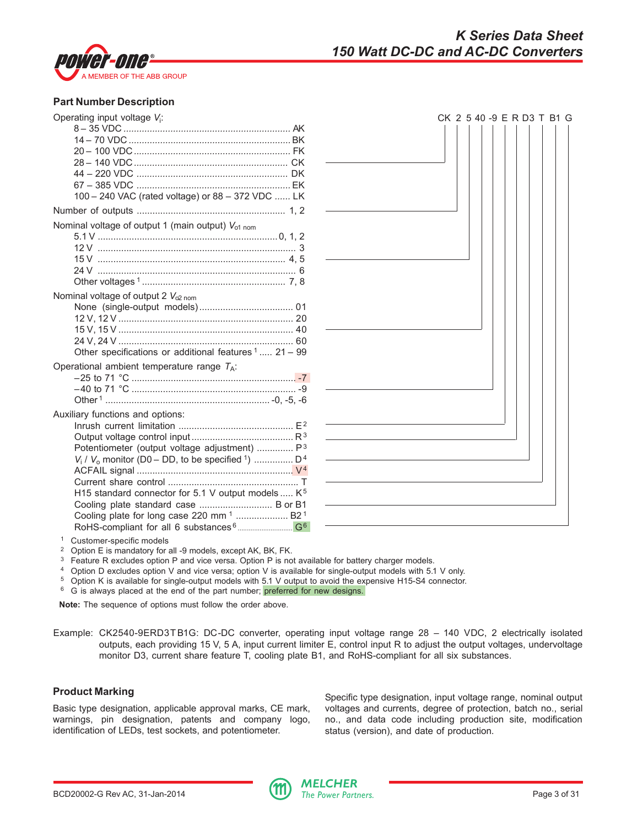

## **Part Number Description**

| Operating input voltage V:                                                     |  |
|--------------------------------------------------------------------------------|--|
|                                                                                |  |
|                                                                                |  |
|                                                                                |  |
|                                                                                |  |
|                                                                                |  |
|                                                                                |  |
| 100 - 240 VAC (rated voltage) or 88 - 372 VDC  LK                              |  |
|                                                                                |  |
| Nominal voltage of output 1 (main output) V <sub>o1 nom</sub>                  |  |
|                                                                                |  |
|                                                                                |  |
|                                                                                |  |
|                                                                                |  |
|                                                                                |  |
| Nominal voltage of output 2 $V_{o2\text{ nom}}$                                |  |
|                                                                                |  |
|                                                                                |  |
|                                                                                |  |
|                                                                                |  |
| Other specifications or additional features $1$ 21 - 99                        |  |
| Operational ambient temperature range $T_A$ :                                  |  |
|                                                                                |  |
|                                                                                |  |
|                                                                                |  |
| Auxiliary functions and options:                                               |  |
|                                                                                |  |
|                                                                                |  |
| Potentiometer (output voltage adjustment)  P <sup>3</sup>                      |  |
| $V_1$ / $V_0$ monitor (D0 – DD, to be specified <sup>1</sup> )  D <sup>4</sup> |  |
|                                                                                |  |
|                                                                                |  |
| H15 standard connector for 5.1 V output models  K <sup>5</sup>                 |  |
| Cooling plate standard case  B or B1                                           |  |
| Cooling plate for long case 220 mm <sup>1</sup> B2 <sup>1</sup>                |  |
|                                                                                |  |



<sup>1</sup> Customer-specific models

<sup>2</sup> Option E is mandatory for all -9 models, except AK, BK, FK.

<sup>3</sup> Feature R excludes option P and vice versa. Option P is not available for battery charger models.

<sup>4</sup> Option D excludes option V and vice versa; option V is available for single-output models with 5.1 V only.

<sup>5</sup> Option K is available for single-output models with 5.1 V output to avoid the expensive H15-S4 connector.

<sup>6</sup> G is always placed at the end of the part number; preferred for new designs.

**Note:** The sequence of options must follow the order above.

Example: CK2540-9ERD3T B1G: DC-DC converter, operating input voltage range 28 – 140 VDC, 2 electrically isolated outputs, each providing 15 V, 5 A, input current limiter E, control input R to adjust the output voltages, undervoltage monitor D3, current share feature T, cooling plate B1, and RoHS-compliant for all six substances.

## **Product Marking**

Basic type designation, applicable approval marks, CE mark, warnings, pin designation, patents and company logo, identification of LEDs, test sockets, and potentiometer.

Specific type designation, input voltage range, nominal output voltages and currents, degree of protection, batch no., serial no., and data code including production site, modification status (version), and date of production.

# *K Series Data Sheet 150 Watt DC-DC and AC-DC Converters*

BCD20002-G Rev AC, 31-Jan-2014 **Page 3 of 31**  $\frac{111}{\pi}$  The Power Partners.

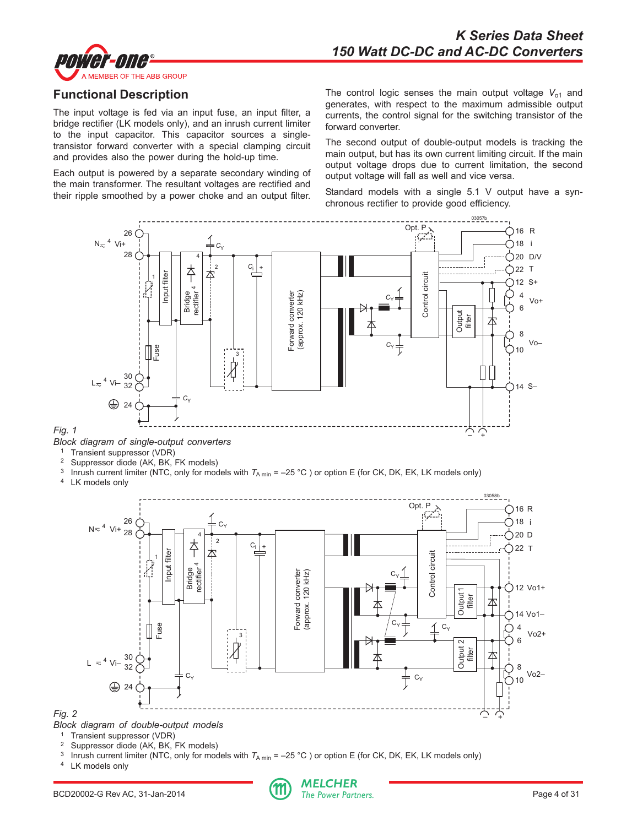

<span id="page-3-0"></span>

# **Functional Description**

The input voltage is fed via an input fuse, an input filter, a bridge rectifier (LK models only), and an inrush current limiter to the input capacitor. This capacitor sources a singletransistor forward converter with a special clamping circuit and provides also the power during the hold-up time.

Each output is powered by a separate secondary winding of the main transformer. The resultant voltages are rectified and their ripple smoothed by a power choke and an output filter.

The control logic senses the main output voltage  $V_{01}$  and generates, with respect to the maximum admissible output currents, the control signal for the switching transistor of the forward converter.

The second output of double-output models is tracking the main output, but has its own current limiting circuit. If the main output voltage drops due to current limitation, the second output voltage will fall as well and vice versa.

Standard models with a single 5.1 V output have a synchronous rectifier to provide good efficiency.



*Block diagram of double-output models*

<sup>2</sup> Suppressor diode (AK, BK, FK models)<sup>3</sup> Innush current limiter (NTC, only for models)<sup>3</sup>

Fuse

Vi–

<sup>1</sup> Transient suppressor (VDR)

 $L \approx 4$ 

*Fig. 2*



<sup>3</sup> Inrush current limiter (NTC, only for models with  $T_{A \text{ min}} = -25 \degree C$ ) or option E (for CK, DK, EK, LK models only)  $^4$  LK models only

 $\overrightarrow{A}$ 

 $\mathcal{C}_{\alpha}$ 

4 6

Ņ

Vo2+

Vo2–

8 10

–' +

本

Output 2 filter

 $\mathcal{1}$  C<sub>y</sub>

 $C_{Y}$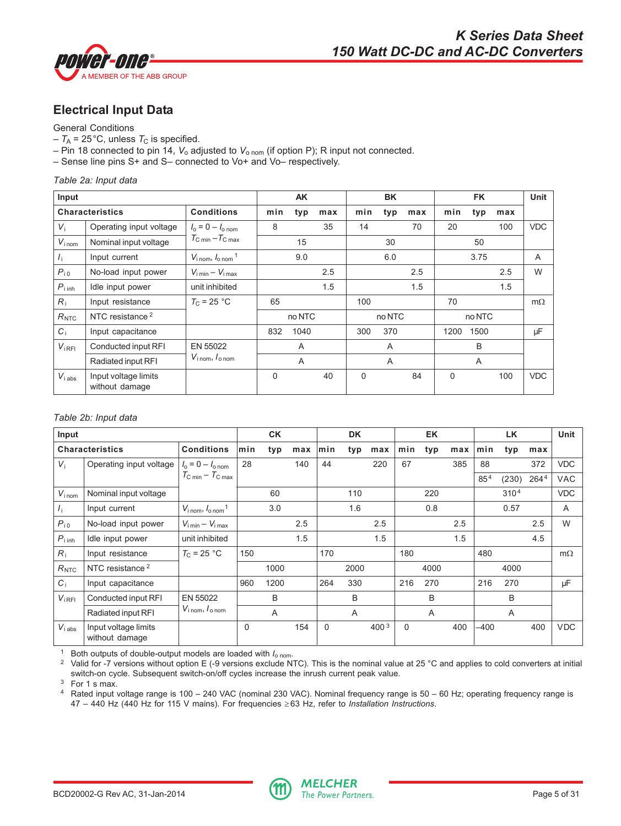<span id="page-4-0"></span>

# **Electrical Input Data**

## General Conditions

- $-T_A$  = 25<sup>°</sup>C, unless  $T_C$  is specified.
- Pin 18 connected to pin 14,  $V_0$  adjusted to  $V_{\text{o nom}}$  (if option P); R input not connected.
- Sense line pins S+ and S– connected to Vo+ and Vo– respectively.

*Table 2a: Input data*

| Input                      |                                        |                                                      |          | <b>AK</b>      |     |     | <b>BK</b> |                |          | <b>Unit</b> |     |                |
|----------------------------|----------------------------------------|------------------------------------------------------|----------|----------------|-----|-----|-----------|----------------|----------|-------------|-----|----------------|
|                            | <b>Characteristics</b>                 | <b>Conditions</b>                                    | min      | typ            | max | min | typ       | max            | min      | typ         | max |                |
| $V_i$                      | Operating input voltage                | $I_0 = 0 - I_{\text{on}}$                            | 8        |                | 35  | 14  |           | 70             | 20       |             | 100 | <b>VDC</b>     |
| $V_{i \text{ nom}}$        | Nominal input voltage                  | $T_{\rm C\,min} - T_{\rm C\,max}$                    |          | 15             |     |     | 30        |                |          | 50          |     |                |
| $I_{\rm i}$                | Input current                          | $V_{\text{i nom}}$ , $I_{\text{o nom}}$ <sup>1</sup> |          | 9.0            |     |     | 6.0       |                |          | 3.75        |     | $\overline{A}$ |
| $P_{10}$                   | No-load input power                    | $V_{\text{i min}} - V_{\text{i max}}$                |          |                | 2.5 |     |           | 2.5            |          |             | 2.5 | W              |
| $P_{\text{i} \text{ inh}}$ | Idle input power                       | unit inhibited                                       |          |                | 1.5 |     |           | 1.5            |          |             | 1.5 |                |
| $R_i$                      | Input resistance                       | $T_{\rm C}$ = 25 °C                                  | 65       |                |     | 100 |           |                | 70       |             |     | $m\Omega$      |
| $R_{\rm NTC}$              | NTC resistance <sup>2</sup>            |                                                      |          | no NTC         |     |     | no NTC    |                |          | no NTC      |     |                |
| $C_i$                      | Input capacitance                      |                                                      | 832      | 1040           |     | 300 | 370       |                | 1200     | 1500        |     | μF             |
| $V_{IRFI}$                 | Conducted input RFI                    | EN 55022                                             |          | $\overline{A}$ |     |     | A         |                |          | B           |     |                |
|                            | Radiated input RFI                     | $V_{\text{inom}}, I_{\text{onom}}$                   | A        |                | A   |     |           | $\overline{A}$ |          |             |     |                |
| $V_{i,abs}$                | Input voltage limits<br>without damage |                                                      | $\Omega$ |                | 40  | 0   |           | 84             | $\Omega$ |             | 100 | <b>VDC</b>     |

#### *Table 2b: Input data*

| Input                      |                                        |                                                      | <b>CK</b> |      |     |          | <b>DK</b> |       |             | <b>EK</b> |     |                 | <b>Unit</b>      |                  |            |
|----------------------------|----------------------------------------|------------------------------------------------------|-----------|------|-----|----------|-----------|-------|-------------|-----------|-----|-----------------|------------------|------------------|------------|
|                            | <b>Characteristics</b>                 | <b>Conditions</b>                                    | min       | typ  | max | min      | typ       | max   | min         | typ       | max | min             | typ              | max              |            |
| $V_i$                      | Operating input voltage                | $I_0 = 0 - I_{0}$ nom                                | 28        |      | 140 | 44       |           | 220   | 67          |           | 385 | 88              |                  | 372              | <b>VDC</b> |
|                            |                                        | $T_{\rm C,min}-T_{\rm C,max}$                        |           |      |     |          |           |       |             |           |     | 85 <sup>4</sup> | (230)            | 264 <sup>4</sup> | <b>VAC</b> |
| $V_{i\,nom}$               | Nominal input voltage                  |                                                      |           | 60   |     |          | 110       |       |             | 220       |     |                 | 310 <sup>4</sup> |                  | <b>VDC</b> |
| $I_{\rm i}$                | Input current                          | $V_{\text{i nom}}$ , $I_{\text{0 nom}}$ <sup>1</sup> |           | 3.0  |     |          | 1.6       |       |             | 0.8       |     |                 | 0.57             |                  | A          |
| $P_{i0}$                   | No-load input power                    | $V_{\text{i min}} - V_{\text{i max}}$                |           |      | 2.5 |          |           | 2.5   |             |           | 2.5 |                 |                  | 2.5              | W          |
| $P_{\text{i} \text{ inh}}$ | Idle input power                       | unit inhibited                                       |           |      | 1.5 |          |           | 1.5   |             |           | 1.5 |                 |                  | 4.5              |            |
| $R_i$                      | Input resistance                       | $T_{\rm C}$ = 25 °C                                  | 150       |      |     | 170      |           |       | 180         |           |     | 480             |                  |                  | $m\Omega$  |
| $R_{\rm NTC}$              | NTC resistance <sup>2</sup>            |                                                      |           | 1000 |     |          | 2000      |       |             | 4000      |     |                 | 4000             |                  |            |
| $C_i$                      | Input capacitance                      |                                                      | 960       | 1200 |     | 264      | 330       |       | 216         | 270       |     | 216             | 270              |                  | μF         |
| $V_{iRFI}$                 | Conducted input RFI                    | EN 55022                                             |           | B    |     |          | B         |       |             | B         |     |                 | B                |                  |            |
|                            | Radiated input RFI                     | $V_{i \text{ nom}}$ , $I_{o \text{ nom}}$            |           | A    |     |          | A         |       |             | A         |     |                 | A                |                  |            |
| $V_{i\,abs}$               | Input voltage limits<br>without damage |                                                      | $\Omega$  |      | 154 | $\Omega$ |           | 400 3 | $\mathbf 0$ |           | 400 | $-400$          |                  | 400              | <b>VDC</b> |

<sup>1</sup> Both outputs of double-output models are loaded with *I*o nom.

<sup>2</sup> Valid for -7 versions without option E (-9 versions exclude NTC). This is the nominal value at 25 °C and applies to cold converters at initial switch-on cycle. Subsequent switch-on/off cycles increase the inrush current peak value.

<sup>3</sup> For 1 s max.

<sup>4</sup> Rated input voltage range is 100 – 240 VAC (nominal 230 VAC). Nominal frequency range is 50 – 60 Hz; operating frequency range is 47 – 440 Hz (440 Hz for 115 V mains). For frequencies ≥ 63 Hz, refer to *Installation Instructions*.

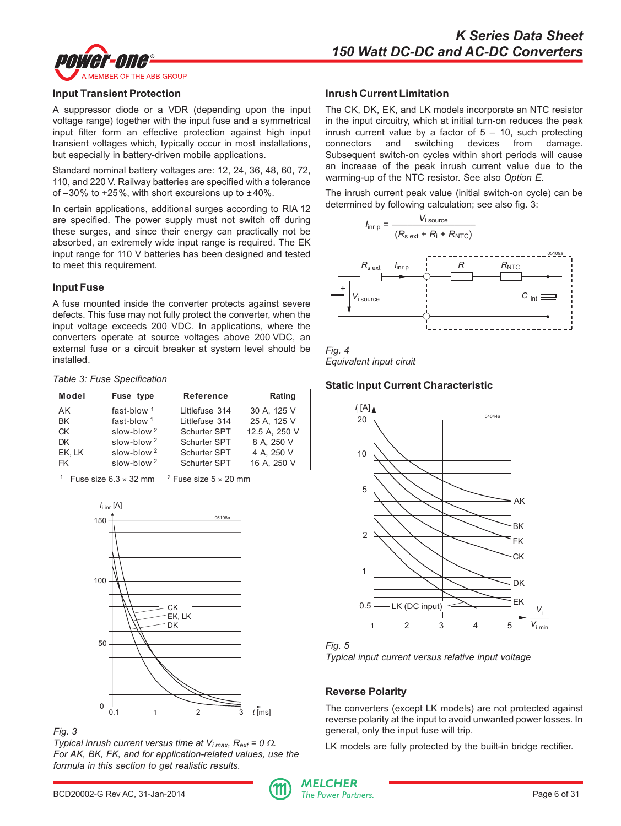

#### **Input Transient Protection**

A suppressor diode or a VDR (depending upon the input voltage range) together with the input fuse and a symmetrical input filter form an effective protection against high input transient voltages which, typically occur in most installations, but especially in battery-driven mobile applications.

Standard nominal battery voltages are: 12, 24, 36, 48, 60, 72, 110, and 220 V. Railway batteries are specified with a tolerance of  $-30\%$  to  $+25\%$ , with short excursions up to  $\pm 40\%$ .

In certain applications, additional surges according to RIA 12 are specified. The power supply must not switch off during these surges, and since their energy can practically not be absorbed, an extremely wide input range is required. The EK input range for 110 V batteries has been designed and tested to meet this requirement.

## **Input Fuse**

A fuse mounted inside the converter protects against severe defects. This fuse may not fully protect the converter, when the input voltage exceeds 200 VDC. In applications, where the converters operate at source voltages above 200 VDC, an external fuse or a circuit breaker at system level should be installed.

| Table 3: Fuse Specification |  |  |  |  |  |
|-----------------------------|--|--|--|--|--|
|-----------------------------|--|--|--|--|--|

| Model     | Fuse type              | <b>Reference</b> | Rating        |
|-----------|------------------------|------------------|---------------|
| AK        | fast-blow $1$          | Littlefuse 314   | 30 A. 125 V   |
| <b>BK</b> | fast-blow $1$          | Littlefuse 314   | 25 A. 125 V   |
| СK        | slow-blow $2$          | Schurter SPT     | 12.5 A. 250 V |
| DK        | slow-blow <sup>2</sup> | Schurter SPT     | 8 A. 250 V    |
| EK, LK    | slow-blow $2$          | Schurter SPT     | 4 A. 250 V    |
| <b>FK</b> | slow-blow $2$          | Schurter SPT     | 16 A. 250 V   |

<sup>1</sup> Fuse size  $6.3 \times 32$  mm <sup>2</sup> Fuse size  $5 \times 20$  mm





*Typical inrush current versus time at*  $V_{i max}$ *, R<sub>ext</sub> = 0*  $\Omega$ *. For AK, BK, FK, and for application-related values, use the formula in this section to get realistic results.*

#### **Inrush Current Limitation**

The CK, DK, EK, and LK models incorporate an NTC resistor in the input circuitry, which at initial turn-on reduces the peak inrush current value by a factor of  $5 - 10$ , such protecting connectors and switching devices from damage. Subsequent switch-on cycles within short periods will cause an increase of the peak inrush current value due to the warming-up of the NTC resistor. See also *Option E*.

The inrush current peak value (initial switch-on cycle) can be determined by following calculation; see also fig. 3:





## **Static Input Current Characteristic**





#### **Reverse Polarity**

The converters (except LK models) are not protected against reverse polarity at the input to avoid unwanted power losses. In general, only the input fuse will trip.

LK models are fully protected by the built-in bridge rectifier.

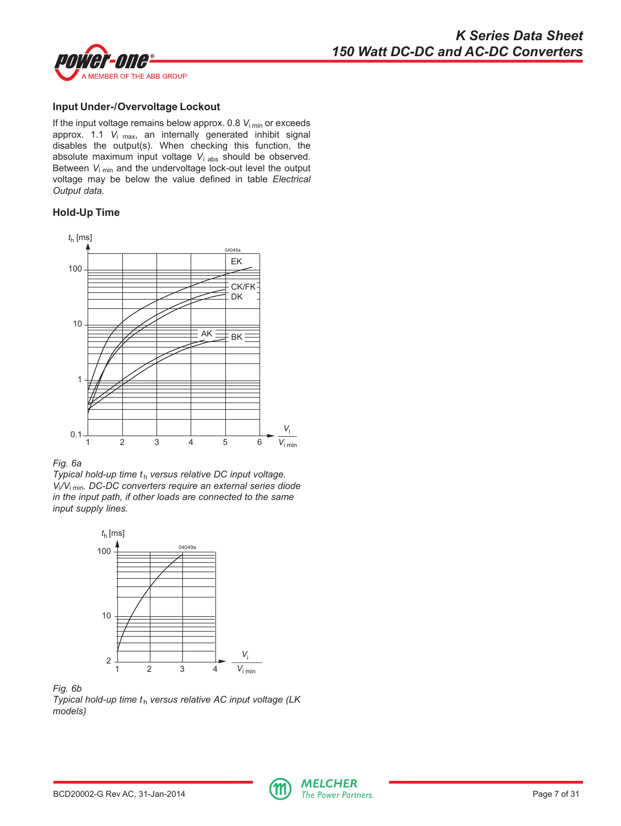

# **Input Under-/Overvoltage Lockout**

If the input voltage remains below approx. 0.8  $V_{\text{i,min}}$  or exceeds approx. 1.1 *V*i max, an internally generated inhibit signal disables the output(s). When checking this function, the absolute maximum input voltage *V*i abs should be observed. Between *V*i min and the undervoltage lock-out level the output voltage may be below the value defined in table *Electrical Output data.*

#### **Hold-Up Time**



#### *Fig. 6a*

*Typical hold-up time th* versus relative DC input voltage. *V*i*/V*i min*. DC-DC converters require an external series diode in the input path, if other loads are connected to the same input supply lines.*



*Fig. 6b*

*Typical hold-up time th* versus relative AC input voltage (LK *models)*

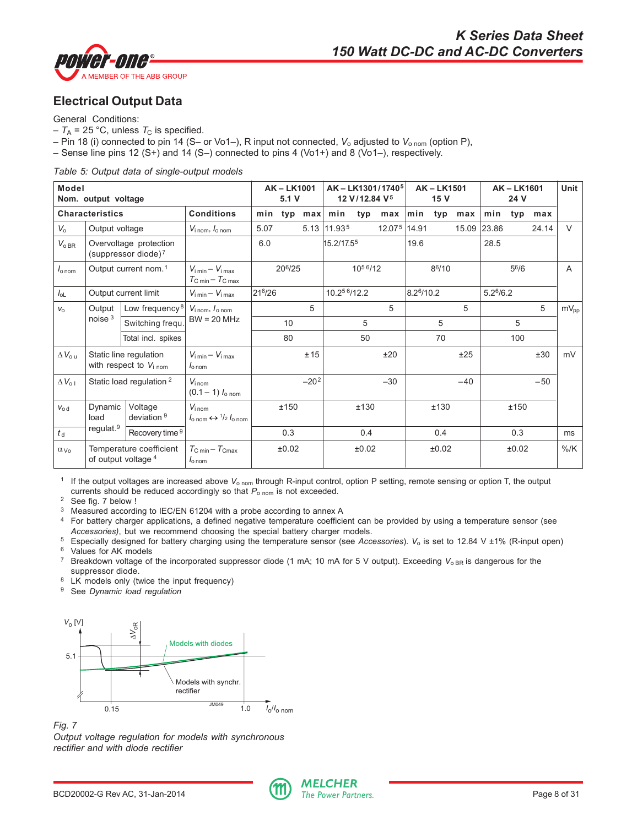<span id="page-7-0"></span>

# **Electrical Output Data**

General Conditions:

- $-T_A = 25$  °C, unless  $T_C$  is specified.
- Pin 18 (i) connected to pin 14 (S– or Vo1–), R input not connected, *V*o adjusted to *V*o nom (option P),
- Sense line pins 12 (S+) and 14 (S–) connected to pins 4 (Vo1+) and 8 (Vo1–), respectively.

*Table 5: Output data of single-output models*

| Model             | Nom. output voltage              |                                                             |                                                                                        | <b>AK-LK1001</b><br>5.1V |        | AK-LK1301/1740 <sup>5</sup><br>12 V/12.84 V <sup>5</sup> |              |                      | <b>AK-LK1501</b><br>15 V |                    |       | AK-LK1601 | Unit                  |       |       |                  |
|-------------------|----------------------------------|-------------------------------------------------------------|----------------------------------------------------------------------------------------|--------------------------|--------|----------------------------------------------------------|--------------|----------------------|--------------------------|--------------------|-------|-----------|-----------------------|-------|-------|------------------|
|                   | <b>Characteristics</b>           |                                                             | <b>Conditions</b>                                                                      | min                      | typ    | max                                                      | min          | typ                  | max                      | min                | typ   | max       | min                   | typ   | max   |                  |
| $V_{o}$           | Output voltage                   |                                                             | $V_{\text{i nom}}$ , $I_{\text{o nom}}$                                                | 5.07                     |        | 5.13                                                     | 11.935       |                      | 12.075                   | 14.91              |       | 15.09     | 23.86                 |       | 24.14 | $\vee$           |
| $V_{oBR}$         |                                  | Overvoltage protection<br>(suppressor diode) <sup>7</sup>   |                                                                                        | 6.0                      |        |                                                          | 15.2/17.55   |                      |                          | 19.6               |       |           | 28.5                  |       |       |                  |
| $I_{\text{onom}}$ | Output current nom. <sup>1</sup> |                                                             | $V_{\text{i min}} - V_{\text{i max}}$<br>$T_{\rm C,min} - T_{\rm C,max}$               |                          | 206/25 |                                                          |              | 10 <sup>56</sup> /12 |                          | 8 <sup>6</sup> /10 |       |           | $5^{6}/6$             |       |       | A                |
| $I_{OL}$          |                                  | Output current limit                                        | $V_{\text{i min}} - V_{\text{i max}}$                                                  | 216/26                   |        |                                                          | 10.25 6/12.2 |                      |                          | 8.26/10.2          |       |           | 5.2 <sup>6</sup> /6.2 |       |       |                  |
| $V_{\Omega}$      | Output                           | Low frequency <sup>8</sup>                                  | $V_{\text{i nom}}$ , $I_{\text{o nom}}$                                                |                          |        | 5                                                        |              |                      | 5                        |                    |       | 5         |                       |       | 5     | $mV_{\text{pp}}$ |
|                   | noise $3$                        | Switching frequ.                                            | $BW = 20 MHz$                                                                          |                          | 10     |                                                          |              | 5                    |                          |                    | 5     |           |                       | 5     |       |                  |
|                   |                                  | Total incl. spikes                                          |                                                                                        |                          | 80     |                                                          |              | 50                   |                          |                    | 70    |           |                       | 100   |       |                  |
| $\Delta V_{o u}$  |                                  | Static line regulation<br>with respect to $V_{i\text{nom}}$ | $V_{\text{i min}} - V_{\text{i max}}$<br>$I_{\text{0 nom}}$                            |                          |        | ±15                                                      |              |                      | ±20                      |                    |       | ±25       |                       |       | ±30   | mV               |
| $\Delta V_{o1}$   |                                  | Static load regulation <sup>2</sup>                         | $V_{\text{inom}}$<br>$(0.1 - 1)$ $I_{\text{o nom}}$                                    |                          |        | $-202$                                                   |              |                      | $-30$                    |                    |       | $-40$     |                       |       | $-50$ |                  |
| $V_{0d}$          | Dynamic<br>load                  | Voltage<br>deviation <sup>9</sup>                           | $V_{i \text{ nom}}$<br>$l_{\text{o nom}} \leftrightarrow \frac{1}{2} l_{\text{o nom}}$ |                          | ±150   |                                                          |              | ±130                 |                          |                    | ±130  |           |                       | ±150  |       |                  |
| $t_{\rm d}$       | regulat. <sup>9</sup>            | Recovery time 9                                             |                                                                                        |                          | 0.3    |                                                          |              | 0.4                  |                          |                    | 0.4   |           |                       | 0.3   |       | ms               |
| $\alpha_{V_0}$    |                                  | Temperature coefficient<br>of output voltage 4              | $T_{\rm C,min}-T_{\rm Cmax}$<br>$I_{\text{o} \text{ nom}}$                             |                          | ±0.02  |                                                          |              | ±0.02                |                          |                    | ±0.02 |           |                       | ±0.02 |       | $%$ /K           |

<sup>1</sup> If the output voltages are increased above V<sub>o nom</sub> through R-input control, option P setting, remote sensing or option T, the output currents should be reduced accordingly so that  $P_{\text{o nom}}$  is not exceeded.

<sup>2</sup> See fig. 7 below !

<sup>3</sup> Measured according to IEC/EN 61204 with a probe according to annex A

<sup>4</sup> For battery charger applications, a defined negative temperature coefficient can be provided by using a temperature sensor (see *Accessories)*, but we recommend choosing the special battery charger models.

<sup>5</sup> Especially designed for battery charging using the temperature sensor (see *Accessories*). *V*o is set to 12.84 V ±1% (R-input open) <sup>6</sup> Values for AK models

<sup>7</sup> Breakdown voltage of the incorporated suppressor diode (1 mA; 10 mA for 5 V output). Exceeding V<sub>o BR</sub> is dangerous for the suppressor diode.

- <sup>8</sup> LK models only (twice the input frequency)
- <sup>9</sup> See *Dynamic load regulation*



*Fig. 7*



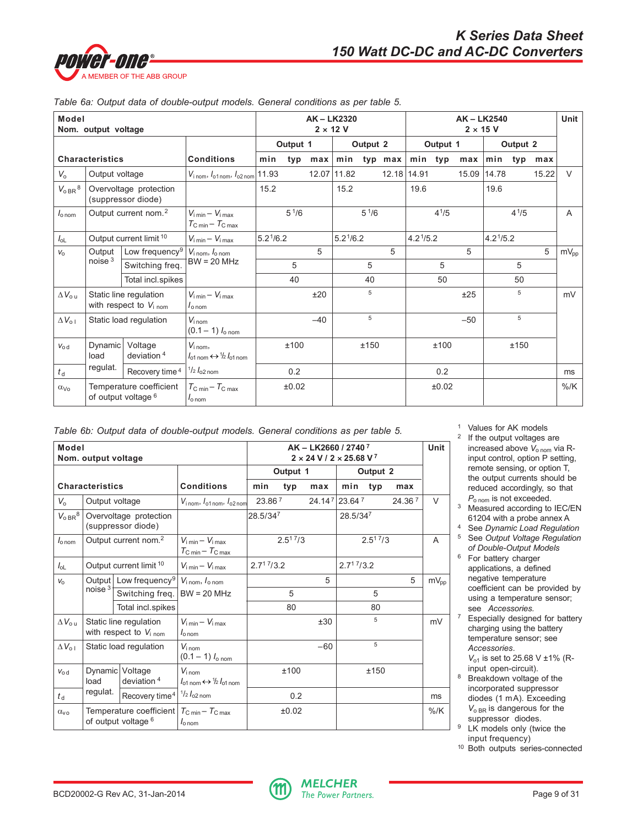

| Model                             | Nom. output voltage                                                              |                                                               |                                                                                      |                       |           |       | AK-LK2320<br>$2 \times 12$ V |           |          |                       |           | AK-LK2540 | $2 \times 15$ V       |           |       | Unit         |
|-----------------------------------|----------------------------------------------------------------------------------|---------------------------------------------------------------|--------------------------------------------------------------------------------------|-----------------------|-----------|-------|------------------------------|-----------|----------|-----------------------|-----------|-----------|-----------------------|-----------|-------|--------------|
|                                   |                                                                                  |                                                               |                                                                                      | Output 1              |           |       | Output 2                     |           | Output 1 |                       |           | Output 2  |                       |           |       |              |
|                                   | <b>Characteristics</b>                                                           |                                                               | <b>Conditions</b>                                                                    | min                   | typ       |       | $max   min$ typ max          |           |          |                       | min typ   | max       | min typ               |           | max   |              |
| $V_{\rm o}$                       | Output voltage                                                                   |                                                               | $V_{i\,nom}$ , $I_{o1\,nom}$ , $I_{o2\,nom}$ 11.93                                   |                       |           |       | 12.07 11.82                  |           | 12.18    | 14.91                 |           |           | 15.09 14.78           |           | 15.22 | $\vee$       |
| $V_{oBR}$ <sup>8</sup>            | Overvoltage protection<br>(suppressor diode)<br>Output current nom. <sup>2</sup> |                                                               |                                                                                      | 15.2                  |           |       | 15.2                         |           |          | 19.6                  |           |           | 19.6                  |           |       |              |
| $I_{\text{o} \text{nom}}$         | Output current limit 10                                                          |                                                               | $V_{i,min} - V_{i,max}$<br>$T_{\rm C\,min} - T_{\rm C\,max}$                         |                       | $5^{1/6}$ |       |                              | $5^{1/6}$ |          |                       | $4^{1/5}$ |           |                       | $4^{1/5}$ |       | $\mathsf{A}$ |
| $I_{OL}$                          |                                                                                  |                                                               | $V_{\text{i min}} - V_{\text{i max}}$                                                | 5.2 <sup>1</sup> /6.2 |           |       | 5.2 <sup>1</sup> /6.2        |           |          | 4.2 <sup>1</sup> /5.2 |           |           | 4.2 <sup>1</sup> /5.2 |           |       |              |
| $V_{\Omega}$                      | Output                                                                           | Low frequency <sup>9</sup>                                    | $V_{i \text{ nom}}$ , $I_{o \text{ nom}}$                                            |                       |           | 5     |                              |           | 5        |                       |           | 5         |                       |           | 5     | $mV_{pp}$    |
|                                   | noise <sup>3</sup>                                                               | Switching freq.                                               | $BW = 20 MHz$                                                                        |                       | 5         |       |                              | 5         |          |                       | 5         |           |                       | 5         |       |              |
|                                   |                                                                                  | Total incl.spikes                                             |                                                                                      |                       | 40        |       |                              | 40        |          |                       | 50        |           |                       | 50        |       |              |
| $\Delta V_{\text{o u}}$           |                                                                                  | Static line regulation<br>with respect to $V_{i \text{ nom}}$ | $V_{\text{i min}} - V_{\text{i max}}$<br>$I_{\text{o nom}}$                          |                       |           | ±20   |                              | 5         |          |                       |           | ±25       |                       | 5         |       | mV           |
| $\Delta V_{\text{o} \, \text{l}}$ | Static load regulation                                                           |                                                               | $V_{i \text{ nom}}$<br>$(0.1 - 1)$ $I_{\text{o nom}}$                                |                       |           | $-40$ |                              | 5         |          |                       |           | $-50$     |                       | 5         |       |              |
| $V_{0d}$                          | Dynamic<br>load                                                                  | Voltage<br>deviation $4$                                      | $V_{i \text{ nom}}$<br>$I_{\text{01}}$ nom $\leftrightarrow$ 1/2 $I_{\text{01}}$ nom |                       | ±100      |       |                              | ±150      |          |                       | ±100      |           |                       | ±150      |       |              |
| $t_{\rm d}$                       | regulat.                                                                         | Recovery time <sup>4</sup>                                    | $\frac{1}{2}I_{\rm 02\,norm}$                                                        |                       | 0.2       |       |                              |           |          |                       | 0.2       |           |                       |           |       | ms           |
| $\alpha_{\text{Vo}}$              |                                                                                  | Temperature coefficient<br>of output voltage <sup>6</sup>     | $T_{\rm C\ min} - T_{\rm C\ max}$<br>$I_{\text{o nom}}$                              |                       | ±0.02     |       |                              |           |          |                       | ±0.02     |           |                       |           |       | $%$ /K       |

#### *Table 6a: Output data of double-output models. General conditions as per table 5.*

| Table 6b: Output data of double-output models. General conditions as per table 5. |  |
|-----------------------------------------------------------------------------------|--|
|-----------------------------------------------------------------------------------|--|

| Model                  | Nom. output voltage    |                                                                                                 |                                                                                        |                        |                    | AK - LK2660 / 2740 <sup>7</sup><br>$2 \times 24$ V / 2 $\times$ 25.68 V <sup>7</sup> |                        |          |        | Unit      |
|------------------------|------------------------|-------------------------------------------------------------------------------------------------|----------------------------------------------------------------------------------------|------------------------|--------------------|--------------------------------------------------------------------------------------|------------------------|----------|--------|-----------|
|                        |                        |                                                                                                 |                                                                                        |                        | Output 1           |                                                                                      |                        | Output 2 |        |           |
|                        | <b>Characteristics</b> |                                                                                                 | <b>Conditions</b>                                                                      | min                    | typ                | max                                                                                  | min                    | typ      | max    |           |
| $V_{\alpha}$           |                        | Output voltage                                                                                  | $V_{\text{inom}}$ , $I_{\text{01nom}}$ , $I_{\text{02nom}}$                            |                        | 23.86 <sup>7</sup> |                                                                                      | 24.147 23.647          |          | 24.367 | $\vee$    |
| $V_{OBR}$ <sup>8</sup> |                        | Overvoltage protection<br>(suppressor diode)                                                    |                                                                                        | 28.5/347               |                    |                                                                                      | 28.5/347               |          |        |           |
| $I_{\text{onom}}$      |                        | Output current nom. <sup>2</sup>                                                                | $V_{\text{imin}} - V_{\text{imax}}$<br>$T_{\rm C\,min} - T_{\rm C\,max}$               | 2.5 <sup>17</sup> /3   |                    | $2.5^{1.7}/3$                                                                        |                        |          | A      |           |
| $I_{OL}$               |                        | Output current limit <sup>10</sup>                                                              | $V_{\text{i min}} - V_{\text{i max}}$                                                  | 2.7 <sup>17</sup> /3.2 |                    |                                                                                      | 2.7 <sup>17</sup> /3.2 |          |        |           |
| $V_{\Omega}$           |                        | Output Low frequency <sup>9</sup> $V_{\text{inom}}$ , $I_{\text{onom}}$                         |                                                                                        |                        |                    | 5                                                                                    |                        |          | 5      | $mV_{pp}$ |
|                        | noise <sup>3</sup>     | Switching freq.                                                                                 | $BW = 20 MHz$                                                                          |                        | 5                  |                                                                                      |                        | 5        |        |           |
|                        |                        | Total incl.spikes                                                                               |                                                                                        |                        | 80                 |                                                                                      |                        | 80       |        |           |
| $\Delta V_{\rm out}$   |                        | Static line regulation<br>with respect to $V_{\text{inom}}$                                     | $V_{\text{imin}} - V_{\text{imav}}$<br>$I_{\Omega \text{nom}}$                         |                        |                    | ±30                                                                                  |                        | 5        |        | mV        |
| $\Delta V_{01}$        |                        | Static load regulation                                                                          | $V_{i \text{ nom}}$<br>$(0.1 - 1)$ $I_{\text{o nom}}$                                  |                        |                    | $-60$                                                                                |                        | 5        |        |           |
| $V_{0d}$               | load                   | Dynamic Voltage<br>deviation $4$                                                                | $V_{\text{inom}}$<br>$l_{\text{01 nom}} \leftrightarrow \frac{1}{2} l_{\text{01 nom}}$ |                        | ±100               |                                                                                      |                        | ±150     |        |           |
| $t_{\rm d}$            | regulat.               | Recovery time <sup>4</sup>                                                                      | $\frac{1}{2}I_{02}$ nom                                                                |                        | 0.2                |                                                                                      |                        |          |        | ms        |
| $\alpha_{\nu}$         |                        | Temperature coefficient $T_{\text{C min}} - T_{\text{C max}}$<br>of output voltage <sup>6</sup> | $I_{\text{o} \text{nom}}$                                                              |                        | ±0.02              |                                                                                      |                        |          |        | $%$ /K    |

- <sup>1</sup> Values for AK models
- <sup>2</sup> If the output voltages are increased above *V*o nom via Rinput control, option P setting, remote sensing, or option T, the output currents should be reduced accordingly, so that  $P_{\text{o nom}}$  is not exceeded.
- <sup>3</sup> Measured according to IEC/EN 61204 with a probe annex A
- <sup>4</sup> See *Dynamic Load Regulation* <sup>5</sup> See *Output Voltage Regulation of Double-Output Models*
- <sup>6</sup> For battery charger applications, a defined negative temperature coefficient can be provided by using a temperature sensor; see *Accessories.*
- <sup>7</sup> Especially designed for battery charging using the battery temperature sensor; see *Accessories*. *V*<sub>01</sub> is set to 25.68 V ±1% (R-
- input open-circuit). <sup>8</sup> Breakdown voltage of the incorporated suppressor diodes (1 mA). Exceeding *V*o BR is dangerous for the suppressor diodes.
- <sup>9</sup> LK models only (twice the input frequency)
- <sup>10</sup> Both outputs series-connected

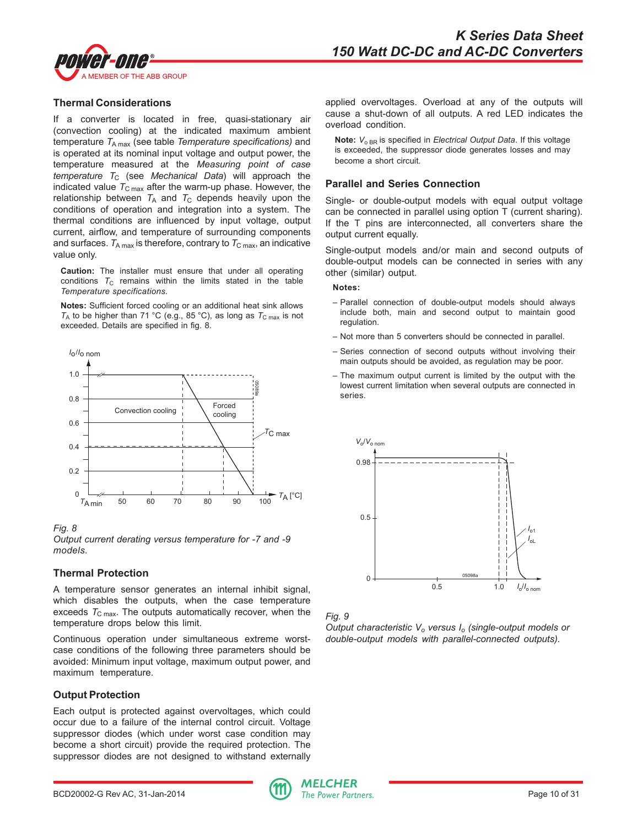

#### **Thermal Considerations**

If a converter is located in free, quasi-stationary air (convection cooling) at the indicated maximum ambient temperature  $T_{A max}$  (see table *Temperature specifications*) and is operated at its nominal input voltage and output power, the temperature measured at the *Measuring point of case temperature* T<sub>C</sub> (see *Mechanical Data*) will approach the indicated value  $T_{\text{C max}}$  after the warm-up phase. However, the relationship between  $T_A$  and  $T_C$  depends heavily upon the conditions of operation and integration into a system. The thermal conditions are influenced by input voltage, output current, airflow, and temperature of surrounding components and surfaces.  $T_{A max}$  is therefore, contrary to  $T_{C max}$ , an indicative value only.

**Caution:** The installer must ensure that under all operating conditions  $T_{\text{C}}$  remains within the limits stated in the table *Temperature specifications.*

**Notes:** Sufficient forced cooling or an additional heat sink allows  $T_A$  to be higher than 71 °C (e.g., 85 °C), as long as  $T_{C \text{ max}}$  is not exceeded. Details are specified in fig. 8.



#### *Fig. 8*

*Output current derating versus temperature for -7 and -9 models.*

#### **Thermal Protection**

A temperature sensor generates an internal inhibit signal, which disables the outputs, when the case temperature exceeds  $T_{\text{C max}}$ . The outputs automatically recover, when the temperature drops below this limit.

Continuous operation under simultaneous extreme worstcase conditions of the following three parameters should be avoided: Minimum input voltage, maximum output power, and maximum temperature.

## **Output Protection**

Each output is protected against overvoltages, which could occur due to a failure of the internal control circuit. Voltage suppressor diodes (which under worst case condition may become a short circuit) provide the required protection. The suppressor diodes are not designed to withstand externally applied overvoltages. Overload at any of the outputs will cause a shut-down of all outputs. A red LED indicates the overload condition.

**Note:**  $V_{\text{o BR}}$  is specified in *Electrical Output Data*. If this voltage is exceeded, the suppressor diode generates losses and may become a short circuit.

#### **Parallel and Series Connection**

Single- or double-output models with equal output voltage can be connected in parallel using option T (current sharing). If the T pins are interconnected, all converters share the output current equally.

Single-output models and/or main and second outputs of double-output models can be connected in series with any other (similar) output.

#### **Notes:**

- Parallel connection of double-output models should always include both, main and second output to maintain good regulation.
- Not more than 5 converters should be connected in parallel.
- Series connection of second outputs without involving their main outputs should be avoided, as regulation may be poor.
- The maximum output current is limited by the output with the lowest current limitation when several outputs are connected in series.





*Output characteristic V<sub>o</sub> versus I<sub>o</sub> (single-output models or double-output models with parallel-connected outputs).*

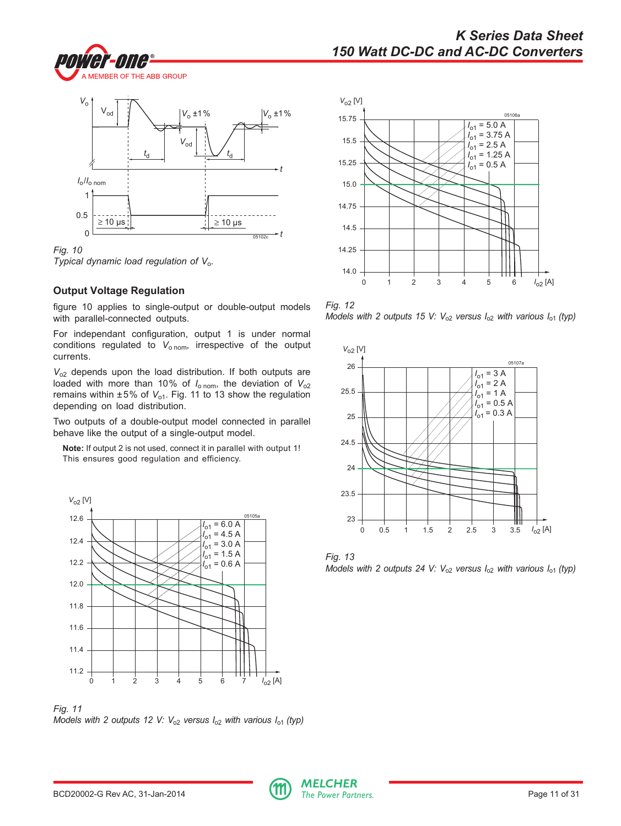



*Fig. 10 Typical dynamic load regulation of V*o*.*

## **Output Voltage Regulation**

figure 10 applies to single-output or double-output models with parallel-connected outputs.

For independant configuration, output 1 is under normal conditions regulated to V<sub>o nom</sub>, irrespective of the output currents.

*V*o2 depends upon the load distribution. If both outputs are loaded with more than 10% of  $I_{\text{o nom}}$ , the deviation of  $V_{\text{o2}}$ remains within ±5% of V<sub>o1</sub>. Fig. 11 to 13 show the regulation depending on load distribution.

Two outputs of a double-output model connected in parallel behave like the output of a single-output model.

**Note:** If output 2 is not used, connect it in parallel with output 1! This ensures good regulation and efficiency.



*Fig. 11*

*Models with 2 outputs 12 V: V*<sub>02</sub> versus  $I_{02}$  with various  $I_{01}$  (typ)



*Fig. 12 Models with 2 outputs 15 V:*  $V_{02}$  versus  $I_{02}$  with various  $I_{01}$  (typ)



*Fig. 13 Models with 2 outputs 24 V: V*<sub>o2</sub> versus  $I_{o2}$  with various  $I_{o1}$  (typ)

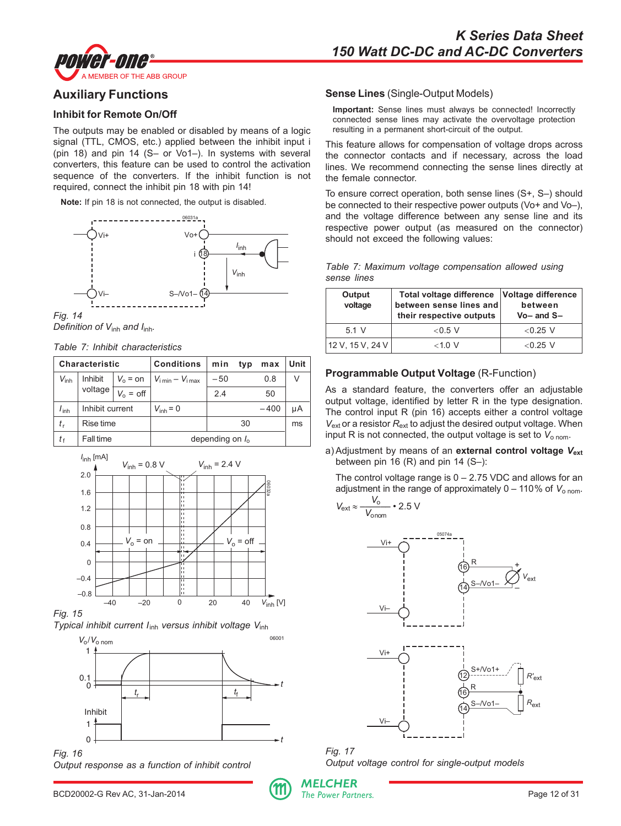<span id="page-11-0"></span>

# **Auxiliary Functions**

## **Inhibit for Remote On/Off**

The outputs may be enabled or disabled by means of a logic signal (TTL, CMOS, etc.) applied between the inhibit input i (pin 18) and pin 14 (S– or Vo1–). In systems with several converters, this feature can be used to control the activation sequence of the converters. If the inhibit function is not required, connect the inhibit pin 18 with pin 14!

**Note:** If pin 18 is not connected, the output is disabled.



*Fig. 14 Definition of V*inh *and I*inh*.*

*Table 7: Inhibit characteristics*

|                  | Characteristic  |                   | <b>Conditions</b>                   | min                | typ | max    | Unit |
|------------------|-----------------|-------------------|-------------------------------------|--------------------|-----|--------|------|
| $V_{\sf inh}$    | Inhibit         | $V_0 = \text{on}$ | $V_{\text{imin}} - V_{\text{imax}}$ | $-50$              |     | 0.8    | V    |
|                  | voltage         | $V_0 = off$       |                                     | 2.4                |     | 50     |      |
| $I_{\text{inh}}$ | Inhibit current |                   | $V_{inh} = 0$                       |                    |     | $-400$ | μA   |
| $t_{\rm r}$      | Rise time       |                   |                                     |                    | 30  |        | ms   |
| t f              | Fall time       |                   |                                     | depending on $I_0$ |     |        |      |



*Fig. 15 Typical inhibit current I*inh *versus inhibit voltage V*inh



*Fig. 16 Output response as a function of inhibit control*



## **Sense Lines** (Single-Output Models)

**Important:** Sense lines must always be connected! Incorrectly connected sense lines may activate the overvoltage protection resulting in a permanent short-circuit of the output.

This feature allows for compensation of voltage drops across the connector contacts and if necessary, across the load lines. We recommend connecting the sense lines directly at the female connector.

To ensure correct operation, both sense lines (S+, S–) should be connected to their respective power outputs (Vo+ and Vo–), and the voltage difference between any sense line and its respective power output (as measured on the connector) should not exceed the following values:

|             |  | Table 7: Maximum voltage compensation allowed using |  |
|-------------|--|-----------------------------------------------------|--|
| sense lines |  |                                                     |  |

| Output<br>voltage | Total voltage difference Voltage difference<br>between sense lines and<br>their respective outputs | between<br>$Vo$ – and $S$ – |
|-------------------|----------------------------------------------------------------------------------------------------|-----------------------------|
| 51V               | $<$ 0.5 V                                                                                          | $<$ 0.25 V                  |
| 12 V, 15 V, 24 V  | $<$ 1 0 V                                                                                          | $< 0.25$ V                  |

# **Programmable Output Voltage** (R-Function)

As a standard feature, the converters offer an adjustable output voltage, identified by letter R in the type designation. The control input R (pin 16) accepts either a control voltage *V*ext or a resistor *R*ext to adjust the desired output voltage. When input R is not connected, the output voltage is set to  $V_{\text{o nom}}$ .

a) Adjustment by means of an external control voltage  $V_{ext}$ between pin 16  $(R)$  and pin 14  $(S-)$ :

The control voltage range is  $0 - 2.75$  VDC and allows for an adjustment in the range of approximately  $0 - 110\%$  of  $V_{\text{onom}}$ .

$$
V_{\text{ext}} \approx \frac{V_0}{V_{\text{onom}}} \cdot 2.5 \text{ V}
$$



*Fig. 17 Output voltage control for single-output models*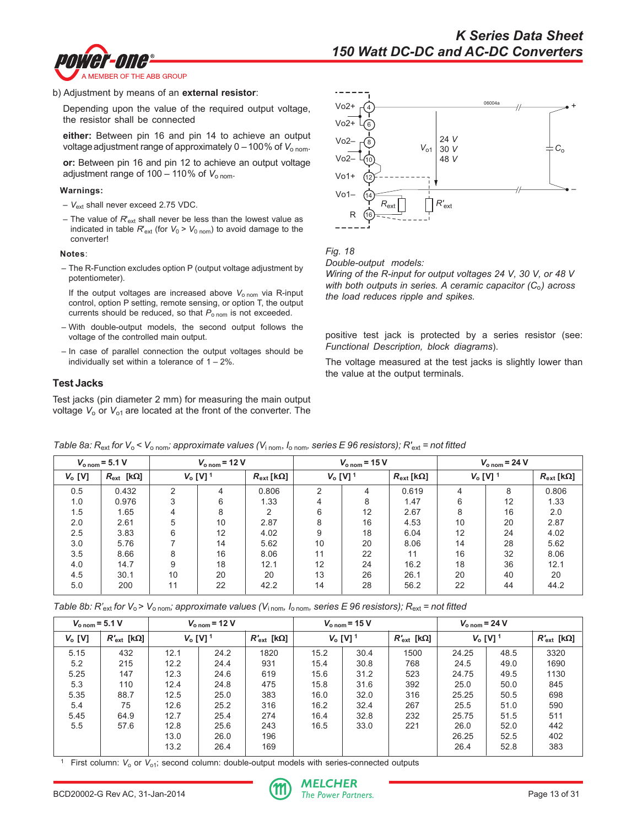



b) Adjustment by means of an **external resistor**:

Depending upon the value of the required output voltage, the resistor shall be connected

**either:** Between pin 16 and pin 14 to achieve an output voltage adjustment range of approximately  $0 - 100\%$  of  $V_{\text{o nom}}$ .

**or:** Between pin 16 and pin 12 to achieve an output voltage adjustment range of  $100 - 110\%$  of  $V_{\text{o nom}}$ .

#### **Warnings:**

- *V*ext shall never exceed 2.75 VDC.
- The value of  $R'_{ext}$  shall never be less than the lowest value as indicated in table  $R'_{ext}$  (for  $V_0 > V_{0 \text{ nom}}$ ) to avoid damage to the converter!

#### **Notes**:

– The R-Function excludes option P (output voltage adjustment by potentiometer).

If the output voltages are increased above V<sub>o nom</sub> via R-input control, option P setting, remote sensing, or option T, the output currents should be reduced, so that P<sub>o nom</sub> is not exceeded.

- With double-output models, the second output follows the voltage of the controlled main output.
- In case of parallel connection the output voltages should be individually set within a tolerance of  $1 - 2\%$ .

#### **Test Jacks**

Test jacks (pin diameter 2 mm) for measuring the main output voltage  $V_0$  or  $V_{01}$  are located at the front of the converter. The





*Wiring of the R-input for output voltages 24 V, 30 V, or 48 V with both outputs in series. A ceramic capacitor (C*o*) across the load reduces ripple and spikes.*

positive test jack is protected by a series resistor (see: *Functional Description, block diagrams*).

The voltage measured at the test jacks is slightly lower than the value at the output terminals.

|           | $V_{\text{o nom}} = 5.1 \text{ V}$ |                        | $V_{\text{o nom}}$ = 12 V |                       |                        | $V_{\text{o nom}}$ = 15 V |                       |    | $V_{\text{o nom}}$ = 24 V |       |
|-----------|------------------------------------|------------------------|---------------------------|-----------------------|------------------------|---------------------------|-----------------------|----|---------------------------|-------|
| $V_o$ [V] | $R_{\text{ext}}$ [kΩ]              | $V_0$ [V] <sup>1</sup> |                           | $R_{\text{ext}}$ [kΩ] | $V_0$ [V] <sup>1</sup> |                           | $R_{\text{ext}}$ [kΩ] |    | $V_0$ [V] $^1$            |       |
| 0.5       | 0.432                              | C                      | 4                         | 0.806                 | 2                      | 4                         | 0.619                 | 4  | 8                         | 0.806 |
| 1.0       | 0.976                              | 3                      | 6                         | 1.33                  | 4                      | 8                         | 1.47                  | 6  | 12                        | 1.33  |
| 1.5       | 1.65                               | 4                      | 8                         | $\overline{2}$        | 6                      | 12                        | 2.67                  | 8  | 16                        | 2.0   |
| 2.0       | 2.61                               | 5                      | 10                        | 2.87                  | 8                      | 16                        | 4.53                  | 10 | 20                        | 2.87  |
| 2.5       | 3.83                               | 6                      | 12                        | 4.02                  | 9                      | 18                        | 6.04                  | 12 | 24                        | 4.02  |
| 3.0       | 5.76                               |                        | 14                        | 5.62                  | 10                     | 20                        | 8.06                  | 14 | 28                        | 5.62  |
| 3.5       | 8.66                               | 8                      | 16                        | 8.06                  | 11                     | 22                        | 11                    | 16 | 32                        | 8.06  |
| 4.0       | 14.7                               | 9                      | 18                        | 12.1                  | 12                     | 24                        | 16.2                  | 18 | 36                        | 12.1  |
| 4.5       | 30.1                               | 10                     | 20                        | 20                    | 13                     | 26                        | 26.1                  | 20 | 40                        | 20    |
| 5.0       | 200                                | 11                     | 22                        | 42.2                  | 14                     | 28                        | 56.2                  | 22 | 44                        | 44.2  |

*Table 8a: R*ext *for V*<sup>o</sup> *< V*o nom*; approximate values (V*i nom, *I*o nom*, series E 96 resistors); R'*ext *= not fitted*

*Table 8b: R'*ext *for V*<sup>o</sup> > *V*o nom*; approximate values (V*i nom*, I*o nom*, series E 96 resistors); R*ext *= not fitted*

| $V_{\text{o nom}} = 5.1 \text{ V}$ |                      |      | $V_{\text{onom}}$ = 12 V |                      |      | $V_{\text{o nom}}$ = 15 V |                      |                        | $V_{\text{o nom}}$ = 24 V |                      |
|------------------------------------|----------------------|------|--------------------------|----------------------|------|---------------------------|----------------------|------------------------|---------------------------|----------------------|
| $V_o$ [V]                          | $R'_\text{ext}$ [kΩ] |      | $V_0$ [V] <sup>1</sup>   | $R'_\text{ext}$ [kΩ] |      | $V_o$ [V] <sup>1</sup>    | $R'_\text{ext}$ [kΩ] | $V_0$ [V] <sup>1</sup> |                           | $R'_\text{ext}$ [kΩ] |
| 5.15                               | 432                  | 12.1 | 24.2                     | 1820                 | 15.2 | 30.4                      | 1500                 | 24.25                  | 48.5                      | 3320                 |
| 5.2                                | 215                  | 12.2 | 24.4                     | 931                  | 15.4 | 30.8                      | 768                  | 24.5                   | 49.0                      | 1690                 |
| 5.25                               | 147                  | 12.3 | 24.6                     | 619                  | 15.6 | 31.2                      | 523                  | 24.75                  | 49.5                      | 1130                 |
| 5.3                                | 110                  | 12.4 | 24.8                     | 475                  | 15.8 | 31.6                      | 392                  | 25.0                   | 50.0                      | 845                  |
| 5.35                               | 88.7                 | 12.5 | 25.0                     | 383                  | 16.0 | 32.0                      | 316                  | 25.25                  | 50.5                      | 698                  |
| 5.4                                | 75                   | 12.6 | 25.2                     | 316                  | 16.2 | 32.4                      | 267                  | 25.5                   | 51.0                      | 590                  |
| 5.45                               | 64.9                 | 12.7 | 25.4                     | 274                  | 16.4 | 32.8                      | 232                  | 25.75                  | 51.5                      | 511                  |
| 5.5                                | 57.6                 | 12.8 | 25.6                     | 243                  | 16.5 | 33.0                      | 221                  | 26.0                   | 52.0                      | 442                  |
|                                    |                      | 13.0 | 26.0                     | 196                  |      |                           |                      | 26.25                  | 52.5                      | 402                  |
|                                    |                      | 13.2 | 26.4                     | 169                  |      |                           |                      | 26.4                   | 52.8                      | 383                  |

<sup>1</sup> First column:  $V_0$  or  $V_{01}$ ; second column: double-output models with series-connected outputs

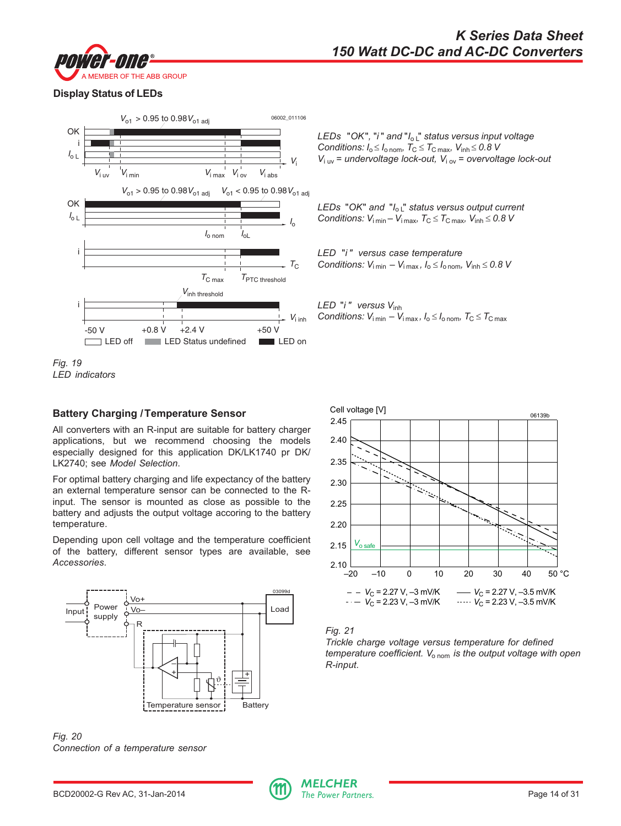



# **Display Status of LEDs**



*Fig. 19 LED indicators*

## **Battery Charging /Temperature Sensor**

All converters with an R-input are suitable for battery charger applications, but we recommend choosing the models especially designed for this application DK/LK1740 pr DK/ LK2740; see *Model Selection*.

For optimal battery charging and life expectancy of the battery an external temperature sensor can be connected to the Rinput. The sensor is mounted as close as possible to the battery and adjusts the output voltage accoring to the battery temperature.

Depending upon cell voltage and the temperature coefficient of the battery, different sensor types are available, see *Accessories*.





*LEDs* "*OK*"*,* "*i* " *and* "*I*o L" *status versus input voltage Conditions:*  $I_0 \le I_0$  nom,  $T_C \le T_{C \text{ max}}$ ,  $V_{\text{inh}} \le 0.8$  V *V*i uv *= undervoltage lock-out, V*i ov *= overvoltage lock-out*

*LEDs* "*OK*" *and* "*I*o L" *status versus output current Conditions:*  $V_{i \text{ min}} - V_{i \text{ max}}$ ,  $T_{C} \leq T_{C \text{ max}}$ ,  $V_{\text{inh}} \leq 0.8$  V

*LED* "*i " versus case temperature Conditions:*  $V_{\text{i min}} - V_{\text{i max}}$ ,  $I_0 \le I_{\text{o nom}}$ ,  $V_{\text{inh}} \le 0.8$  V

*LED* "*i " versus V*inh *Conditions:*  $V_{i \min} - V_{i \max}$ ,  $I_0 \leq I_{o \min}$ ,  $T_C \leq T_{C \max}$ 





*Trickle charge voltage versus temperature for defined temperature coefficient. V*o nom *is the output voltage with open R-input.*

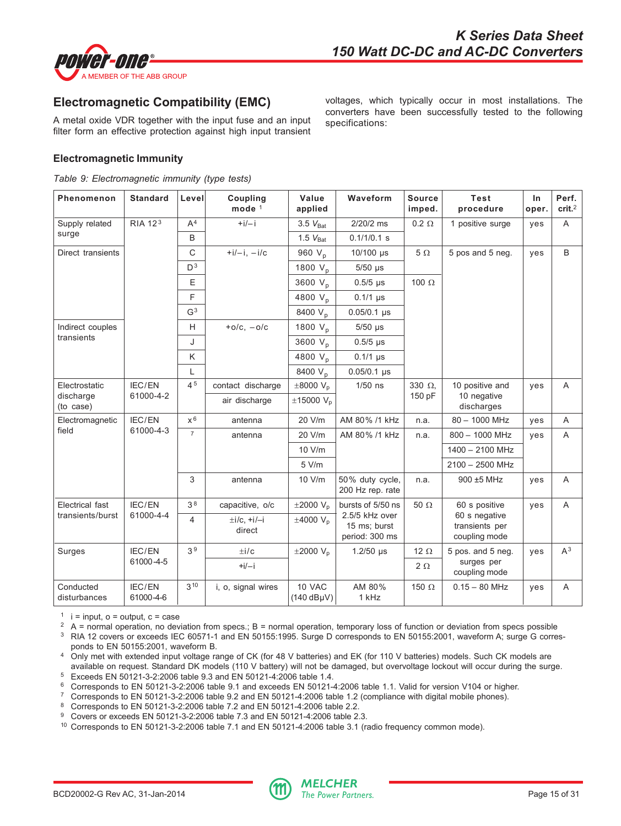<span id="page-14-0"></span>

# **Electromagnetic Compatibility (EMC)**

A metal oxide VDR together with the input fuse and an input filter form an effective protection against high input transient voltages, which typically occur in most installations. The converters have been successfully tested to the following specifications:

## **Electromagnetic Immunity**

*Table 9: Electromagnetic immunity (type tests)*

| Phenomenon                | <b>Standard</b>     | Level          | Coupling<br>mode $1$          | Value<br>applied           | Waveform                                         | <b>Source</b><br>imped. | <b>Test</b><br>procedure                         | In<br>oper. | Perf.<br>crit. <sup>2</sup> |
|---------------------------|---------------------|----------------|-------------------------------|----------------------------|--------------------------------------------------|-------------------------|--------------------------------------------------|-------------|-----------------------------|
| Supply related            | RIA 12 <sup>3</sup> | A <sup>4</sup> | $+i/-i$                       | $3.5 V_{\text{Rat}}$       | 2/20/2 ms                                        | $0.2 \Omega$            | 1 positive surge                                 | yes         | A                           |
| surge                     |                     | B              |                               | $1.5 V_{\text{Bat}}$       | $0.1/1/0.1$ s                                    |                         |                                                  |             |                             |
| Direct transients         |                     | $\mathsf{C}$   | $+i/-i, -i/c$                 | 960 V <sub>p</sub>         | 10/100 µs                                        | $5\Omega$               | 5 pos and 5 neg.                                 | yes         | B                           |
|                           |                     | D <sup>3</sup> |                               | 1800 $V_p$                 | $5/50$ µs                                        |                         |                                                  |             |                             |
|                           |                     | E              |                               | 3600 $V_n$                 | $0.5/5$ µs                                       | 100 $\Omega$            |                                                  |             |                             |
|                           |                     | F              |                               | 4800 V <sub>p</sub>        | $0.1/1 \,\mu s$                                  |                         |                                                  |             |                             |
|                           |                     | G <sup>3</sup> |                               | 8400 V <sub>p</sub>        | $0.05/0.1$ µs                                    |                         |                                                  |             |                             |
| Indirect couples          |                     | H              | $+o/c$ , $-o/c$               | 1800 $V_p$                 | $5/50$ µs                                        |                         |                                                  |             |                             |
| transients                |                     | J              |                               | 3600 V <sub>n</sub>        | $0.5/5$ µs                                       |                         |                                                  |             |                             |
|                           |                     | K              |                               | 4800 V <sub>p</sub>        | $0.1/1 \,\mu s$                                  |                         |                                                  |             |                             |
|                           |                     | L              |                               | 8400 V <sub>p</sub>        | $0.05/0.1 \,\mu s$                               |                         |                                                  |             |                             |
| Electrostatic             | IEC/EN              | 45             | contact discharge             | $\pm 8000$ V <sub>p</sub>  | $1/50$ ns                                        | 330 $\Omega$            | 10 positive and                                  | yes         | $\overline{A}$              |
| discharge<br>(to case)    | 61000-4-2           |                | air discharge                 | $\pm$ 15000 V <sub>p</sub> |                                                  | 150 pF                  | 10 negative<br>discharges                        |             |                             |
| Electromagnetic           | IEC/EN              | $x^6$          | antenna                       | 20 V/m                     | AM 80% /1 kHz                                    | n.a.                    | $80 - 1000$ MHz                                  | yes         | A                           |
| field                     | 61000-4-3           | $\overline{7}$ | antenna                       | 20 V/m                     | AM 80% /1 kHz                                    | n.a.                    | $800 - 1000$ MHz                                 | yes         | $\overline{A}$              |
|                           |                     |                |                               | 10 V/m                     |                                                  |                         | 1400 - 2100 MHz                                  |             |                             |
|                           |                     |                |                               | 5 V/m                      |                                                  |                         | 2100 - 2500 MHz                                  |             |                             |
|                           |                     | 3              | antenna                       | 10 V/m                     | 50% duty cycle,<br>200 Hz rep. rate              | n.a.                    | 900 ±5 MHz                                       | yes         | $\overline{A}$              |
| Electrical fast           | IEC/EN              | 3 <sup>8</sup> | capacitive, o/c               | $\pm 2000$ V <sub>p</sub>  | bursts of 5/50 ns                                | 50 $\Omega$             | 60 s positive                                    | ves         | A                           |
| transients/burst          | 61000-4-4           | $\overline{4}$ | $\pm i/c$ , $+i/-i$<br>direct | $\pm 4000$ V <sub>p</sub>  | 2.5/5 kHz over<br>15 ms; burst<br>period: 300 ms |                         | 60 s negative<br>transients per<br>coupling mode |             |                             |
| Surges                    | IEC/EN              | 3 <sup>9</sup> | $\pm i/c$                     | $\pm 2000$ V <sub>p</sub>  | $1.2/50$ µs                                      | 12 $\Omega$             | 5 pos. and 5 neg.                                | yes         | $A^3$                       |
|                           | 61000-4-5           |                | $+i/-i$                       |                            |                                                  | $2\Omega$               | surges per<br>coupling mode                      |             |                             |
| Conducted<br>disturbances | IEC/EN<br>61000-4-6 | 310            | i, o, signal wires            | 10 VAC<br>$(140 dB\mu V)$  | AM 80%<br>1 kHz                                  | 150 $\Omega$            | $0.15 - 80$ MHz                                  | yes         | A                           |

 $1$  i = input, o = output, c = case

 $2 \text{ A}$  = normal operation, no deviation from specs.; B = normal operation, temporary loss of function or deviation from specs possible

<sup>3</sup> RIA 12 covers or exceeds IEC 60571-1 and EN 50155:1995. Surge D corresponds to EN 50155:2001, waveform A; surge G corresponds to EN 50155:2001, waveform B.

- <sup>4</sup> Only met with extended input voltage range of CK (for 48 V batteries) and EK (for 110 V batteries) models. Such CK models are available on request. Standard DK models (110 V battery) will not be damaged, but overvoltage lockout will occur during the surge. <sup>5</sup> Exceeds EN 50121-3-2:2006 table 9.3 and EN 50121-4:2006 table 1.4.
- <sup>6</sup> Corresponds to EN 50121-3-2:2006 table 9.1 and exceeds EN 50121-4:2006 table 1.1. Valid for version V104 or higher.
- <sup>7</sup> Corresponds to EN 50121-3-2:2006 table 9.2 and EN 50121-4:2006 table 1.2 (compliance with digital mobile phones).

<sup>8</sup> Corresponds to EN 50121-3-2:2006 table 7.2 and EN 50121-4:2006 table 2.2.

<sup>9</sup> Covers or exceeds EN 50121-3-2:2006 table 7.3 and EN 50121-4:2006 table 2.3.

<sup>10</sup> Corresponds to EN 50121-3-2:2006 table 7.1 and EN 50121-4:2006 table 3.1 (radio frequency common mode).

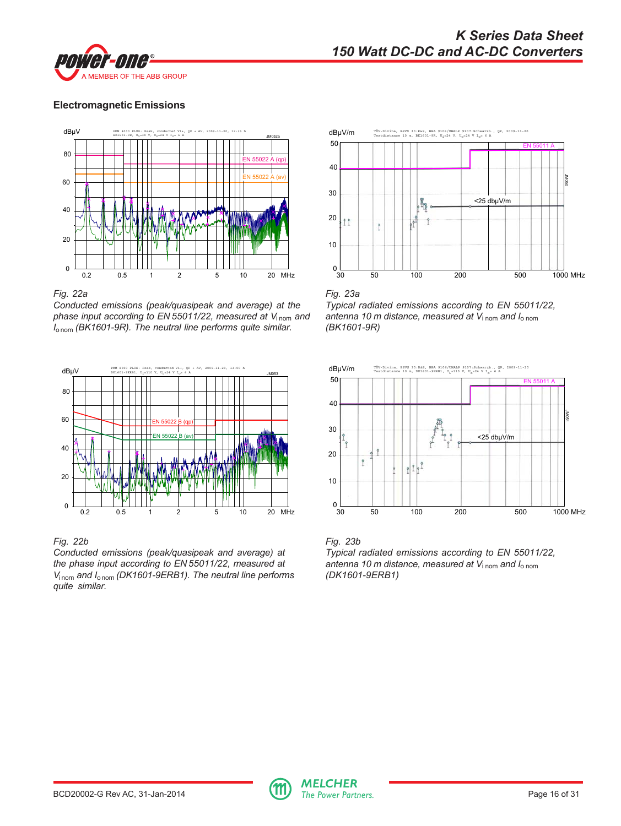

## **Electromagnetic Emissions**



*Fig. 22a*

*Conducted emissions (peak/quasipeak and average) at the phase input according to EN 55011/22, measured at V*<sub>inom</sub> and *I*o nom *(BK1601-9R). The neutral line performs quite similar.*



## *Fig. 22b*

*Conducted emissions (peak/quasipeak and average) at the phase input according to EN 55011/22, measured at V*<sub>inom</sub> and *I*<sub>onom</sub> (DK1601-9ERB1). The neutral line performs *quite similar.*

![](_page_15_Figure_9.jpeg)

*Fig. 23a Typical radiated emissions according to EN 55011/22, antenna 10 m distance, measured at V*i nom *and I*o nom *(BK1601-9R)*

![](_page_15_Figure_11.jpeg)

![](_page_15_Figure_12.jpeg)

![](_page_15_Picture_14.jpeg)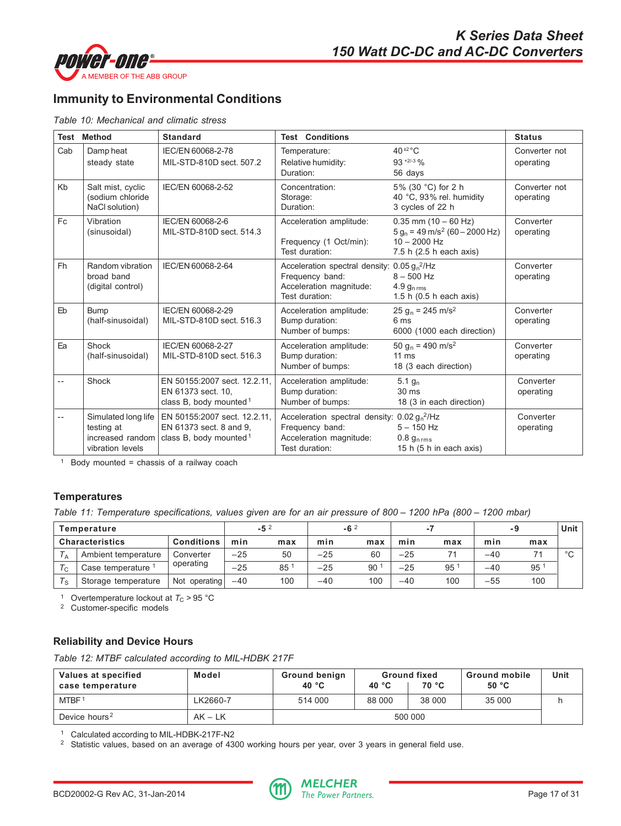<span id="page-16-0"></span>![](_page_16_Picture_0.jpeg)

# **Immunity to Environmental Conditions**

*Table 10: Mechanical and climatic stress*

|                            | <b>Test Method</b>                                      | <b>Standard</b>                                                                                                                          | <b>Test Conditions</b>                                                                                         |                                                                                                                            | <b>Status</b>              |
|----------------------------|---------------------------------------------------------|------------------------------------------------------------------------------------------------------------------------------------------|----------------------------------------------------------------------------------------------------------------|----------------------------------------------------------------------------------------------------------------------------|----------------------------|
| Cab                        | Damp heat<br>steady state                               | IEC/EN 60068-2-78<br>MIL-STD-810D sect. 507.2                                                                                            | Temperature:<br>Relative humidity:<br>Duration:                                                                | 40 $\pm 2$ °C<br>$93 + 2/ -3$ %<br>56 days                                                                                 | Converter not<br>operating |
| Kb                         | Salt mist, cyclic<br>(sodium chloride<br>NaCl solution) | IEC/EN 60068-2-52                                                                                                                        | Concentration:<br>Storage:<br>Duration:                                                                        | 5% (30 °C) for 2 h<br>40 °C, 93% rel. humidity<br>3 cycles of 22 h                                                         | Converter not<br>operating |
| Fc                         | Vibration<br>(sinusoidal)                               | IEC/EN 60068-2-6<br>MIL-STD-810D sect. 514.3                                                                                             | Acceleration amplitude:<br>Frequency (1 Oct/min):<br>Test duration:                                            | $0.35$ mm $(10 - 60$ Hz)<br>$5 g_n = 49 \text{ m/s}^2 (60 - 2000 \text{ Hz})$<br>$10 - 2000$ Hz<br>7.5 h (2.5 h each axis) | Converter<br>operating     |
| <b>Fh</b>                  | Random vibration<br>broad band<br>(digital control)     | IEC/EN 60068-2-64                                                                                                                        | Acceleration spectral density: $0.05 gn2/Hz$<br>Frequency band:<br>Acceleration magnitude:<br>Test duration:   | $8 - 500$ Hz<br>$4.9 g_{n \, \text{rms}}$<br>1.5 h (0.5 h each axis)                                                       | Converter<br>operating     |
| Eb                         | <b>Bump</b><br>(half-sinusoidal)                        | IEC/EN 60068-2-29<br>MIL-STD-810D sect. 516.3                                                                                            | Acceleration amplitude:<br>Bump duration:<br>Number of bumps:                                                  | $25 g_n = 245 m/s^2$<br>6 ms<br>6000 (1000 each direction)                                                                 | Converter<br>operating     |
| Ea                         | Shock<br>(half-sinusoidal)                              | IEC/EN 60068-2-27<br>MIL-STD-810D sect. 516.3                                                                                            | Acceleration amplitude:<br>Bump duration:<br>Number of bumps:                                                  | 50 g <sub>n</sub> = 490 m/s <sup>2</sup><br>$11 \text{ ms}$<br>18 (3 each direction)                                       | Converter<br>operating     |
| $-$                        | Shock                                                   | EN 50155:2007 sect. 12.2.11.<br>EN 61373 sect. 10.<br>class B, body mounted <sup>1</sup>                                                 | Acceleration amplitude:<br>Bump duration:<br>Number of bumps:                                                  | $5.1 g_n$<br>30 ms<br>18 (3 in each direction)                                                                             | Converter<br>operating     |
| $\overline{\phantom{a}}$ . | testing at<br>vibration levels                          | Simulated long life   EN 50155:2007 sect. 12.2.11,<br>EN 61373 sect. 8 and 9,<br>increased random $ $ class B, body mounted <sup>1</sup> | Acceleration spectral density: $0.02 g_n^2/Hz$<br>Frequency band:<br>Acceleration magnitude:<br>Test duration: | $5 - 150$ Hz<br>$0.8$ $g_{n\,rms}$<br>15 h (5 h in each axis)                                                              | Converter<br>operating     |

 $1$  Body mounted = chassis of a railway coach

# **Temperatures**

*Table 11: Temperature specifications, values given are for an air pressure of 800 – 1200 hPa (800 – 1200 mbar)*

|                        | Temperature                   |                   |       | $-5^2$ |       | $-6^2$          |       |              |       |                 | <b>Unit</b> |
|------------------------|-------------------------------|-------------------|-------|--------|-------|-----------------|-------|--------------|-------|-----------------|-------------|
| <b>Characteristics</b> |                               | <b>Conditions</b> | min   | max    | min   | max             | min   | max          | min   | max             |             |
| l A                    | Ambient temperature           | Converter         | $-25$ | 50     | $-25$ | 60              | $-25$ |              | $-40$ |                 | $\circ$     |
| $T_{\rm C}$            | Case temperature <sup>1</sup> | operating         | $-25$ | 85     | $-25$ | 90 <sup>1</sup> | $-25$ | $95^{\circ}$ | $-40$ | 95 <sup>°</sup> |             |
| $T_{\rm S}$            | Storage temperature           | Not operating     | $-40$ | 100    | $-40$ | 100             | $-40$ | 100          | $-55$ | 100             |             |

<sup>1</sup> Overtemperature lockout at  $T_c$  > 95 °C

<sup>2</sup> Customer-specific models

# **Reliability and Device Hours**

*Table 12: MTBF calculated according to MIL-HDBK 217F*

| Values at specified<br>case temperature | Model     | <b>Ground benign</b><br>40 $^{\circ}$ C | <b>Ground fixed</b><br>70 °C<br>40 $^{\circ}$ C |        | <b>Ground mobile</b><br>50 °C | Unit |
|-----------------------------------------|-----------|-----------------------------------------|-------------------------------------------------|--------|-------------------------------|------|
| MTBF <sup>1</sup>                       | LK2660-7  | 514 000                                 | 88 000                                          | 38 000 | 35 000                        |      |
| Device hours <sup>2</sup>               | $AK - LK$ | 500 000                                 |                                                 |        |                               |      |

<sup>1</sup> Calculated according to MIL-HDBK-217F-N2

<sup>2</sup> Statistic values, based on an average of 4300 working hours per year, over 3 years in general field use.

![](_page_16_Picture_17.jpeg)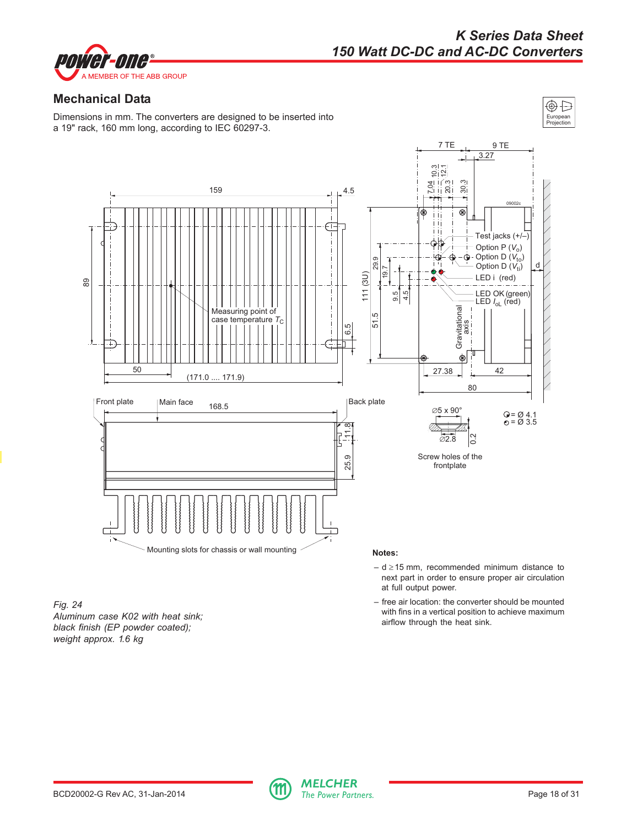<span id="page-17-0"></span>![](_page_17_Picture_0.jpeg)

# *K Series Data Sheet 150 Watt DC-DC and AC-DC Converters*

European Projection

⊕Ð

# **Mechanical Data**

Dimensions in mm. The converters are designed to be inserted into a 19" rack, 160 mm long, according to IEC 60297-3.

![](_page_17_Figure_4.jpeg)

*Fig. 24 Aluminum case K02 with heat sink; black finish (EP powder coated); weight approx. 1.6 kg*

– d ≥ 15 mm, recommended minimum distance to next part in order to ensure proper air circulation at full output power.

– free air location: the converter should be mounted with fins in a vertical position to achieve maximum airflow through the heat sink.

![](_page_17_Picture_9.jpeg)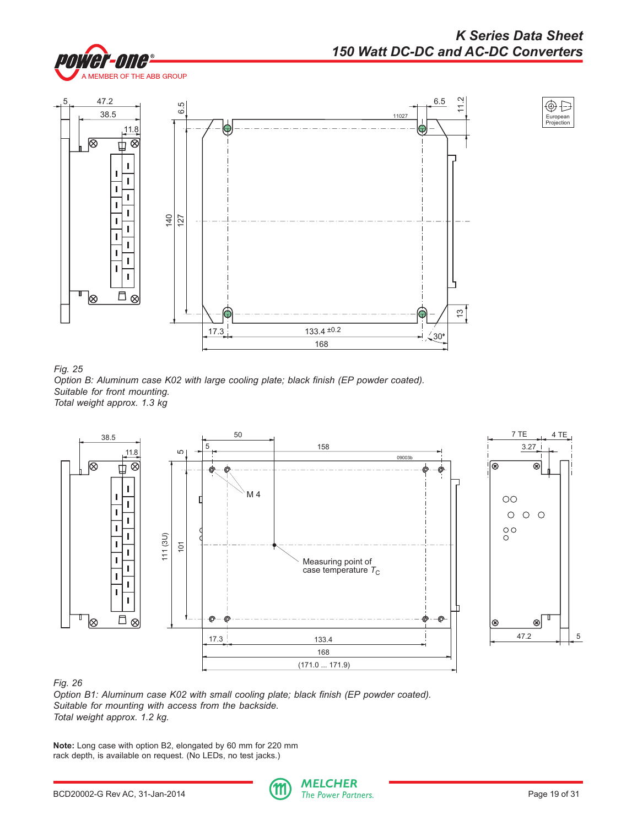![](_page_18_Picture_1.jpeg)

![](_page_18_Figure_2.jpeg)

![](_page_18_Figure_3.jpeg)

*Fig. 25 Option B: Aluminum case K02 with large cooling plate; black finish (EP powder coated). Suitable for front mounting. Total weight approx. 1.3 kg*

![](_page_18_Figure_5.jpeg)

![](_page_18_Figure_6.jpeg)

*Option B1: Aluminum case K02 with small cooling plate; black finish (EP powder coated). Suitable for mounting with access from the backside. Total weight approx. 1.2 kg.*

**Note:** Long case with option B2, elongated by 60 mm for 220 mm rack depth, is available on request. (No LEDs, no test jacks.)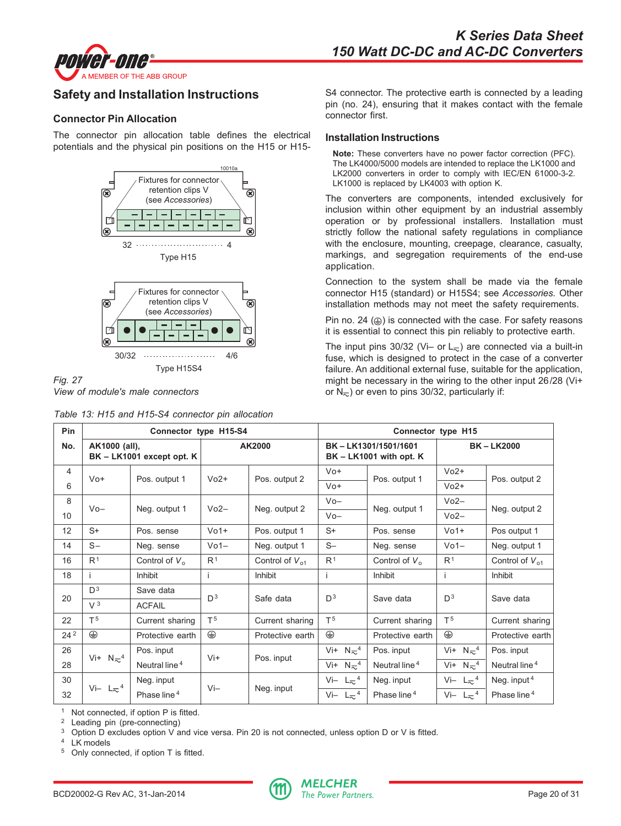<span id="page-19-0"></span>![](_page_19_Picture_0.jpeg)

# **Safety and Installation Instructions**

## **Connector Pin Allocation**

The connector pin allocation table defines the electrical potentials and the physical pin positions on the H15 or H15-

![](_page_19_Figure_5.jpeg)

![](_page_19_Figure_6.jpeg)

*Table 13: H15 and H15-S4 connector pin allocation*

S4 connector. The protective earth is connected by a leading pin (no. 24), ensuring that it makes contact with the female connector first.

#### **Installation Instructions**

**Note:** These converters have no power factor correction (PFC). The LK4000/5000 models are intended to replace the LK1000 and LK2000 converters in order to comply with IEC/EN 61000-3-2. LK1000 is replaced by LK4003 with option K.

The converters are components, intended exclusively for inclusion within other equipment by an industrial assembly operation or by professional installers. Installation must strictly follow the national safety regulations in compliance with the enclosure, mounting, creepage, clearance, casualty, markings, and segregation requirements of the end-use application.

Connection to the system shall be made via the female connector H15 (standard) or H15S4; see *Accessories.* Other installation methods may not meet the safety requirements.

Pin no. 24  $(\oplus)$  is connected with the case. For safety reasons it is essential to connect this pin reliably to protective earth.

The input pins 30/32 (Vi– or  $L_{\nabla}$ ) are connected via a built-in fuse, which is designed to protect in the case of a converter failure. An additional external fuse, suitable for the application, might be necessary in the wiring to the other input 26/28 (Vi+ or  $N_{\overline{2}}$ ) or even to pins 30/32, particularly if:

| Pin             |                               | Connector type H15-S4     |                 |                     | Connector type H15                                 |                           |                               |                           |  |
|-----------------|-------------------------------|---------------------------|-----------------|---------------------|----------------------------------------------------|---------------------------|-------------------------------|---------------------------|--|
| No.             | AK1000 (all),                 | BK - LK1001 except opt. K |                 | AK2000              | BK-LK1301/1501/1601<br>$BK - LK1001$ with opt. $K$ |                           |                               | <b>BK-LK2000</b>          |  |
| $\overline{4}$  | $V_0 +$                       |                           | $Vo2+$          |                     | $V_0 +$                                            |                           | $Vo2+$                        |                           |  |
| 6               |                               | Pos. output 1             |                 | Pos. output 2       | $V_0 +$                                            | Pos. output 1             | $Vo2+$                        | Pos. output 2             |  |
| 8               | $V_0-$                        |                           | $Vo2-$          |                     | $V_0 -$                                            |                           | $Vo2-$                        |                           |  |
| 10              |                               | Neg. output 1             |                 | Neg. output 2       | $V_0-$                                             | Neg. output 1             | $Vo2-$                        | Neg. output 2             |  |
| 12              | $S+$                          | Pos. sense                | $V01+$          | Pos. output 1       | $S+$                                               | Pos. sense                | $V01+$                        | Pos output 1              |  |
| 14              | $S -$                         | Neg. sense                | V <sub>01</sub> | Neg. output 1       | $S-$                                               | Neg. sense                | $Vo1-$                        | Neg. output 1             |  |
| 16              | R <sup>1</sup>                | Control of $V_0$          | R <sup>1</sup>  | Control of $V_{01}$ | R <sup>1</sup>                                     | Control of $V_0$          | R <sup>1</sup>                | Control of $V_{01}$       |  |
| 18              |                               | Inhibit                   | i.              | Inhibit             |                                                    | Inhibit                   | Ť                             | Inhibit                   |  |
| 20              | D <sup>3</sup>                | Save data                 | D <sup>3</sup>  | Safe data           | D <sup>3</sup>                                     | Save data                 | D <sup>3</sup>                | Save data                 |  |
|                 | V <sup>3</sup>                | <b>ACFAIL</b>             |                 |                     |                                                    |                           |                               |                           |  |
| 22              | T <sub>5</sub>                | Current sharing           | T <sup>5</sup>  | Current sharing     | T <sub>5</sub>                                     | Current sharing           | T <sup>5</sup>                | Current sharing           |  |
| 24 <sup>2</sup> | ⊕                             | Protective earth          | ⊕               | Protective earth    | ⊕                                                  | Protective earth          | ⊕                             | Protective earth          |  |
| 26              |                               | Pos. input                |                 |                     | Vi+ $N_{\infty}$ <sup>4</sup>                      | Pos. input                | Vi+ $N_{\infty}$ <sup>4</sup> | Pos. input                |  |
| 28              | Vi+ $N_{\infty}$ <sup>4</sup> | Neutral line <sup>4</sup> | $Vi+$           | Pos. input          | Vi+ $N_{\infty}$ <sup>4</sup>                      | Neutral line <sup>4</sup> | Vi+ $N_{\infty}$ <sup>4</sup> | Neutral line <sup>4</sup> |  |
| 30              |                               | Neg. input                |                 |                     | Vi- $L_{\infty}$ <sup>4</sup>                      | Neg. input                | Vi- $L_{\infty}$ <sup>4</sup> | Neg. input $4$            |  |
| 32              | Vi- $L_{\infty}$ <sup>4</sup> | Phase line <sup>4</sup>   | $Vi-$           | Neg. input          | Vi- $L_{\infty}$ <sup>4</sup>                      | Phase line <sup>4</sup>   | Vi- $L_{\infty}$ <sup>4</sup> | Phase line <sup>4</sup>   |  |

<sup>1</sup> Not connected, if option  $P$  is fitted.

Leading pin (pre-connecting)

<sup>3</sup> Option D excludes option V and vice versa. Pin 20 is not connected, unless option D or V is fitted.<br><sup>4</sup> LK models

LK models

<sup>5</sup> Only connected, if option T is fitted.

![](_page_19_Picture_22.jpeg)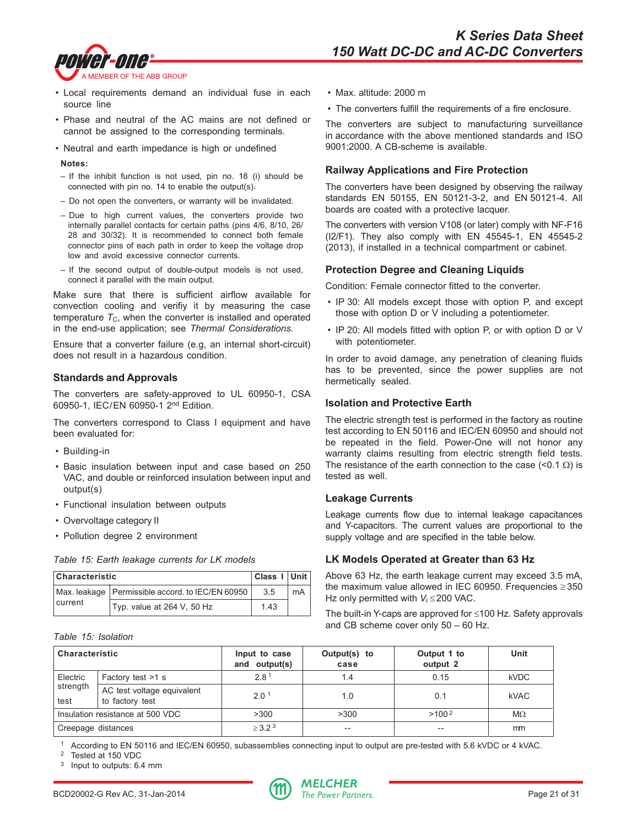![](_page_20_Picture_1.jpeg)

- Local requirements demand an individual fuse in each source line
- Phase and neutral of the AC mains are not defined or cannot be assigned to the corresponding terminals.
- Neutral and earth impedance is high or undefined

#### **Notes:**

- If the inhibit function is not used, pin no. 18 (i) should be connected with pin no. 14 to enable the output(s).
- Do not open the converters, or warranty will be invalidated.
- Due to high current values, the converters provide two internally parallel contacts for certain paths (pins 4/6, 8/10, 26/ 28 and 30/32). It is recommended to connect both female connector pins of each path in order to keep the voltage drop low and avoid excessive connector currents.
- If the second output of double-output models is not used, connect it parallel with the main output.

Make sure that there is sufficient airflow available for convection cooling and verifiy it by measuring the case temperature  $T_{C}$ , when the converter is installed and operated in the end-use application; see *Thermal Considerations.*

Ensure that a converter failure (e.g, an internal short-circuit) does not result in a hazardous condition.

## **Standards and Approvals**

The converters are safety-approved to UL 60950-1, CSA 60950-1, IEC/EN 60950-1 2nd Edition.

The converters correspond to Class I equipment and have been evaluated for:

- Building-in
- Basic insulation between input and case based on 250 VAC, and double or reinforced insulation between input and output(s)
- Functional insulation between outputs
- Overvoltage category II
- Pollution degree 2 environment

*Table 15: Earth leakage currents for LK models*

| Characteristic |                                                    | Class I Unit |    |
|----------------|----------------------------------------------------|--------------|----|
|                | Max. leakage   Permissible accord. to IEC/EN 60950 | 35           | mA |
| current        | Typ. value at 264 V, 50 Hz                         | 143          |    |

*Table 15: Isolation*

- Max. altitude: 2000 m
- The converters fulfill the requirements of a fire enclosure.

The converters are subject to manufacturing surveillance in accordance with the above mentioned standards and ISO 9001:2000. A CB-scheme is available.

## **Railway Applications and Fire Protection**

The converters have been designed by observing the railway standards EN 50155, EN 50121-3-2, and EN 50121-4. All boards are coated with a protective lacquer.

The converters with version V108 (or later) comply with NF-F16 (I2/F1). They also comply with EN 45545-1, EN 45545-2 (2013), if installed in a technical compartment or cabinet.

## **Protection Degree and Cleaning Liquids**

Condition: Female connector fitted to the converter.

- IP 30: All models except those with option P, and except those with option D or V including a potentiometer.
- IP 20: All models fitted with option P, or with option D or V with potentiometer.

In order to avoid damage, any penetration of cleaning fluids has to be prevented, since the power supplies are not hermetically sealed.

#### **Isolation and Protective Earth**

The electric strength test is performed in the factory as routine test according to EN 50116 and IEC/EN 60950 and should not be repeated in the field. Power-One will not honor any warranty claims resulting from electric strength field tests. The resistance of the earth connection to the case (<0.1  $\Omega$ ) is tested as well.

## **Leakage Currents**

Leakage currents flow due to internal leakage capacitances and Y-capacitors. The current values are proportional to the supply voltage and are specified in the table below.

## **LK Models Operated at Greater than 63 Hz**

Above 63 Hz, the earth leakage current may exceed 3.5 mA, the maximum value allowed in IEC 60950. Frequencies ≥ 350 Hz only permitted with *V*<sub>i</sub> ≤200 VAC.

The built-in Y-caps are approved for ≤100 Hz. Safety approvals and CB scheme cover only 50 – 60 Hz.

| <b>Characteristic</b> |                                               | Input to case<br>and output(s) | Output(s) to<br>case | Output 1 to<br>output 2 | Unit        |
|-----------------------|-----------------------------------------------|--------------------------------|----------------------|-------------------------|-------------|
| Electric              | Factory test >1 s                             | 2.8                            | 1.4                  | 0.15                    | <b>kVDC</b> |
| strength<br>test      | AC test voltage equivalent<br>to factory test | $2.0^{\circ}$                  | 1.0                  | 0.1                     | <b>kVAC</b> |
|                       | Insulation resistance at 500 VDC              | >300                           | >300                 | $>100^{2}$              | $M\Omega$   |
| Creepage distances    |                                               | > 3.23                         | $- -$                | $- -$                   | mm          |

<sup>1</sup> According to EN 50116 and IEC/EN 60950, subassemblies connecting input to output are pre-tested with 5.6 kVDC or 4 kVAC.

Tested at 150 VDC

<sup>3</sup> Input to outputs: 6.4 mm

![](_page_20_Picture_46.jpeg)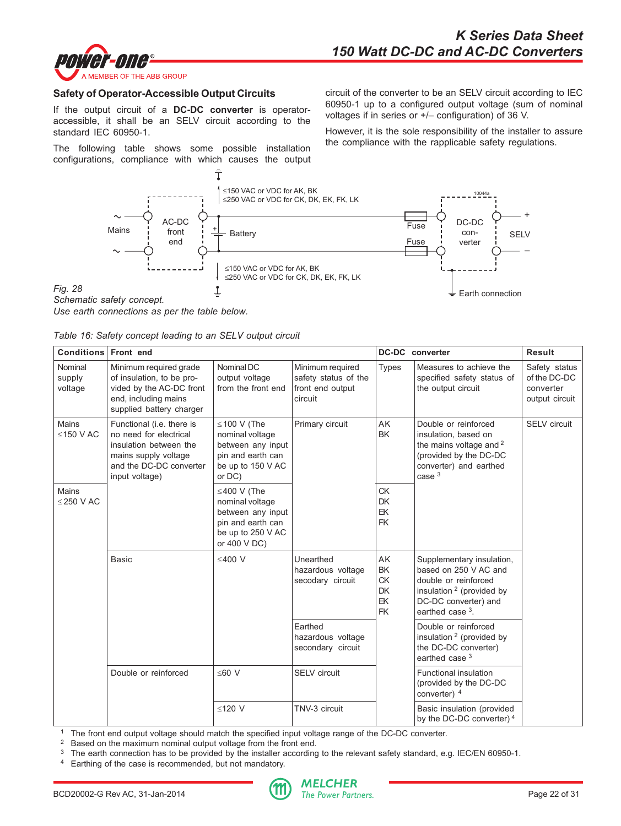![](_page_21_Picture_1.jpeg)

#### **Safety of Operator-Accessible Output Circuits**

If the output circuit of a **DC-DC converter** is operatoraccessible, it shall be an SELV circuit according to the standard IEC 60950-1.

The following table shows some possible installation configurations, compliance with which causes the output circuit of the converter to be an SELV circuit according to IEC 60950-1 up to a configured output voltage (sum of nominal voltages if in series or +/– configuration) of 36 V.

However, it is the sole responsibility of the installer to assure the compliance with the rapplicable safety regulations.

![](_page_21_Figure_7.jpeg)

*Use earth connections as per the table below.*

*Fig. 28*

| Table 16: Safety concept leading to an SELV output circuit |  |  |  |  |  |  |  |  |  |
|------------------------------------------------------------|--|--|--|--|--|--|--|--|--|
|------------------------------------------------------------|--|--|--|--|--|--|--|--|--|

| Conditions Front end         |                                                                                                                                                    |                                                                                                                     |                                                                         |                                                              | <b>DC-DC</b> converter                                                                                                                                           | <b>Result</b>                                                |
|------------------------------|----------------------------------------------------------------------------------------------------------------------------------------------------|---------------------------------------------------------------------------------------------------------------------|-------------------------------------------------------------------------|--------------------------------------------------------------|------------------------------------------------------------------------------------------------------------------------------------------------------------------|--------------------------------------------------------------|
| Nominal<br>supply<br>voltage | Minimum required grade<br>of insulation, to be pro-<br>vided by the AC-DC front<br>end, including mains<br>supplied battery charger                | Nominal DC<br>output voltage<br>from the front end                                                                  | Minimum required<br>safety status of the<br>front end output<br>circuit | <b>Types</b>                                                 | Measures to achieve the<br>specified safety status of<br>the output circuit                                                                                      | Safety status<br>of the DC-DC<br>converter<br>output circuit |
| Mains<br>$≤150$ V AC         | Functional (i.e. there is<br>no need for electrical<br>insulation between the<br>mains supply voltage<br>and the DC-DC converter<br>input voltage) | $\leq$ 100 V (The<br>nominal voltage<br>between any input<br>pin and earth can<br>be up to 150 V AC<br>or DC)       | Primary circuit                                                         | AK<br><b>BK</b>                                              | Double or reinforced<br>insulation, based on<br>the mains voltage and <sup>2</sup><br>(provided by the DC-DC<br>converter) and earthed<br>case <sup>3</sup>      | <b>SELV</b> circuit                                          |
| Mains<br>$<$ 250 V AC        |                                                                                                                                                    | $\leq$ 400 V (The<br>nominal voltage<br>between any input<br>pin and earth can<br>be up to 250 V AC<br>or 400 V DC) |                                                                         | <b>CK</b><br><b>DK</b><br>EK<br><b>FK</b>                    |                                                                                                                                                                  |                                                              |
|                              | Basic                                                                                                                                              | $<$ 400 V                                                                                                           | Unearthed<br>hazardous voltage<br>secodary circuit                      | AK<br><b>BK</b><br><b>CK</b><br><b>DK</b><br>EK<br><b>FK</b> | Supplementary insulation,<br>based on 250 V AC and<br>double or reinforced<br>insulation <sup>2</sup> (provided by<br>DC-DC converter) and<br>earthed case $3$ . |                                                              |
|                              |                                                                                                                                                    |                                                                                                                     | Earthed<br>hazardous voltage<br>secondary circuit                       |                                                              | Double or reinforced<br>insulation <sup>2</sup> (provided by<br>the DC-DC converter)<br>earthed case <sup>3</sup>                                                |                                                              |
|                              | Double or reinforced                                                                                                                               | $≤60$ V                                                                                                             | <b>SELV</b> circuit                                                     |                                                              | Functional insulation<br>(provided by the DC-DC<br>converter) 4                                                                                                  |                                                              |
|                              |                                                                                                                                                    | ≤120 V                                                                                                              | TNV-3 circuit                                                           |                                                              | Basic insulation (provided<br>by the DC-DC converter) <sup>4</sup>                                                                                               |                                                              |

<sup>1</sup> The front end output voltage should match the specified input voltage range of the DC-DC converter.<br><sup>2</sup> Based on the maximum nominal output voltage from the front end

Based on the maximum nominal output voltage from the front end.

<sup>3</sup> The earth connection has to be provided by the installer according to the relevant safety standard, e.g. IEC/EN 60950-1.

<sup>4</sup> Earthing of the case is recommended, but not mandatory.

![](_page_21_Picture_16.jpeg)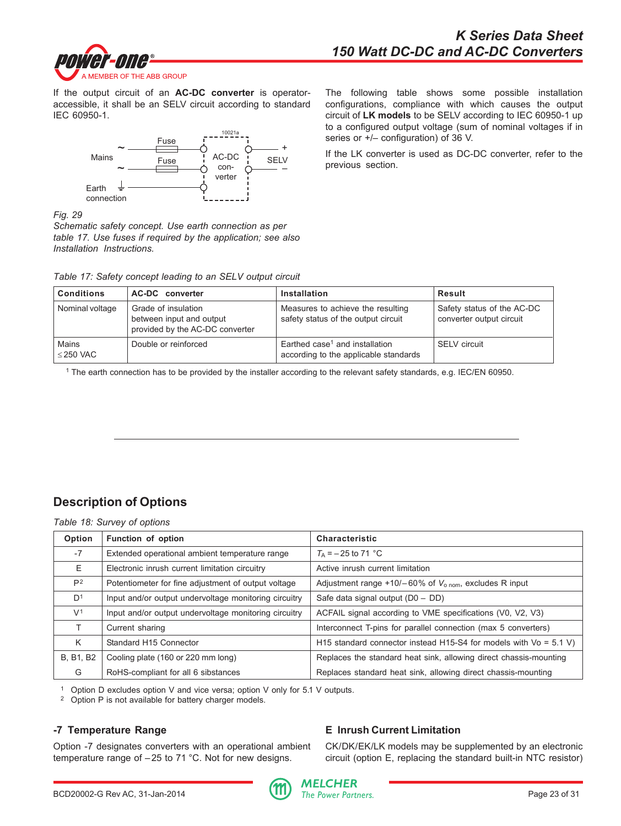<span id="page-22-0"></span>![](_page_22_Picture_1.jpeg)

If the output circuit of an **AC-DC converter** is operatoraccessible, it shall be an SELV circuit according to standard IEC 60950-1.

![](_page_22_Figure_3.jpeg)

The following table shows some possible installation configurations, compliance with which causes the output circuit of **LK models** to be SELV according to IEC 60950-1 up to a configured output voltage (sum of nominal voltages if in series or +/– configuration) of 36 V.

If the LK converter is used as DC-DC converter, refer to the previous section.

*Fig. 29*

*Schematic safety concept. Use earth connection as per table 17. Use fuses if required by the application; see also Installation Instructions.*

| Table 17: Safety concept leading to an SELV output circuit |  |  |  |  |  |  |  |  |  |
|------------------------------------------------------------|--|--|--|--|--|--|--|--|--|
|------------------------------------------------------------|--|--|--|--|--|--|--|--|--|

| <b>Conditions</b>    | AC-DC converter                                                                    | <b>Installation</b>                                                                 | Result                                                 |
|----------------------|------------------------------------------------------------------------------------|-------------------------------------------------------------------------------------|--------------------------------------------------------|
| Nominal voltage      | Grade of insulation<br>between input and output<br>provided by the AC-DC converter | Measures to achieve the resulting<br>safety status of the output circuit            | Safety status of the AC-DC<br>converter output circuit |
| Mains<br>$<$ 250 VAC | Double or reinforced                                                               | Earthed case <sup>1</sup> and installation<br>according to the applicable standards | SELV circuit                                           |

1 The earth connection has to be provided by the installer according to the relevant safety standards, e.g. IEC/EN 60950.

# **Description of Options**

*Table 18: Survey of options*

| Option           | Function of option                                    | <b>Characteristic</b>                                                |
|------------------|-------------------------------------------------------|----------------------------------------------------------------------|
| $-7$             | Extended operational ambient temperature range        | $T_{\rm A}$ = -25 to 71 °C                                           |
| E                | Electronic inrush current limitation circuitry        | Active inrush current limitation                                     |
| P <sup>2</sup>   | Potentiometer for fine adjustment of output voltage   | Adjustment range +10/-60% of $V_{\text{o nom}}$ , excludes R input   |
| D <sup>1</sup>   | Input and/or output undervoltage monitoring circuitry | Safe data signal output (D0 - DD)                                    |
| V <sup>1</sup>   | Input and/or output undervoltage monitoring circuitry | ACFAIL signal according to VME specifications (V0, V2, V3)           |
| т                | Current sharing                                       | Interconnect T-pins for parallel connection (max 5 converters)       |
| K                | Standard H <sub>15</sub> Connector                    | H15 standard connector instead H15-S4 for models with $Vo = 5.1 V$ ) |
| <b>B. B1, B2</b> | Cooling plate (160 or 220 mm long)                    | Replaces the standard heat sink, allowing direct chassis-mounting    |
| G                | RoHS-compliant for all 6 sibstances                   | Replaces standard heat sink, allowing direct chassis-mounting        |

<sup>1</sup> Option D excludes option V and vice versa; option V only for 5.1 V outputs.<br><sup>2</sup> Option P is not available for battery charger models

Option P is not available for battery charger models.

# **-7 Temperature Range**

Option -7 designates converters with an operational ambient temperature range of –25 to 71 °C. Not for new designs.

# **E Inrush Current Limitation**

CK/DK/EK/LK models may be supplemented by an electronic circuit (option E, replacing the standard built-in NTC resistor)

![](_page_22_Picture_21.jpeg)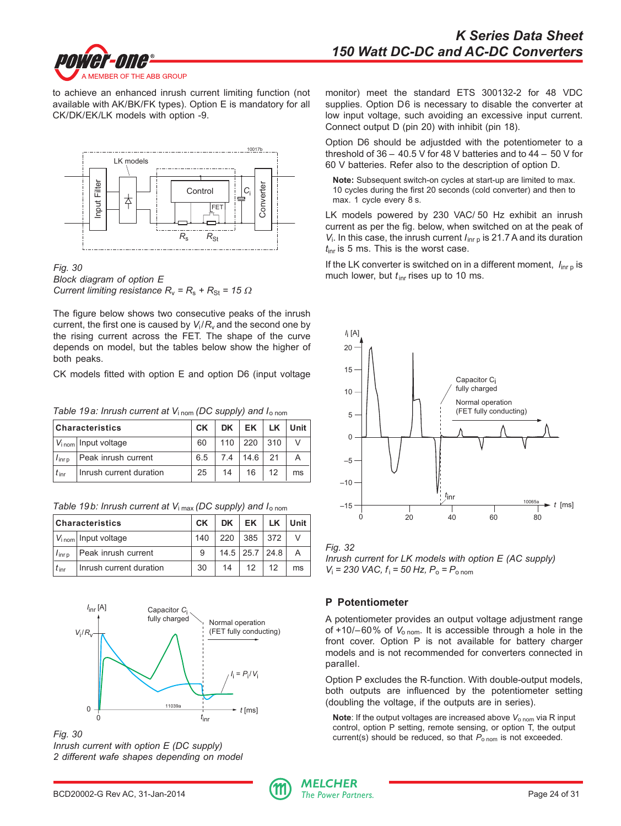![](_page_23_Picture_1.jpeg)

to achieve an enhanced inrush current limiting function (not available with AK/BK/FK types). Option E is mandatory for all CK/DK/EK/LK models with option -9.

![](_page_23_Figure_3.jpeg)

*Fig. 30 Block diagram of option E Current limiting resistance*  $R_v = R_s + R_{St} = 15 \Omega$ 

The figure below shows two consecutive peaks of the inrush current, the first one is caused by  $V_i/R_v$  and the second one by the rising current across the FET. The shape of the curve depends on model, but the tables below show the higher of both peaks.

CK models fitted with option E and option D6 (input voltage

*Table 19a: Inrush current at V*i nom *(DC supply) and I*o nom

|                  | Characteristics                 | <b>CK</b> | DK  | EK          | LK          | Unit |
|------------------|---------------------------------|-----------|-----|-------------|-------------|------|
|                  | V <sub>inom</sub> Input voltage | 60        | 110 | 220         | $\vert$ 310 |      |
| $I_{\text{inr}}$ | Peak inrush current             | 65        |     | 7.4 14.6 21 |             |      |
| $t_{\text{inr}}$ | Inrush current duration         | 25        | 14  | 16          | 12          | ms   |

|  | Table 19b: Inrush current at $V_{\text{i max}}$ (DC supply) and $I_{\text{o nom}}$ |
|--|------------------------------------------------------------------------------------|
|--|------------------------------------------------------------------------------------|

|                   | <b>Characteristics</b>          | <b>CK</b> | DK  | EK                   | LK . | Unit |
|-------------------|---------------------------------|-----------|-----|----------------------|------|------|
|                   | $V_{\text{inom}}$ Input voltage | 140       | 220 | 385 372              |      |      |
| $I_{\text{inro}}$ | Peak inrush current             | 9         |     | $14.5$   25.7   24.8 |      |      |
| $t_{\rm irr}$     | Inrush current duration         | 30        | 14  | 12                   | 12   | ms   |

![](_page_23_Figure_11.jpeg)

*Fig. 30*

*Inrush current with option E (DC supply) 2 different wafe shapes depending on model* monitor) meet the standard ETS 300132-2 for 48 VDC supplies. Option D6 is necessary to disable the converter at low input voltage, such avoiding an excessive input current. Connect output D (pin 20) with inhibit (pin 18).

Option D6 should be adjustded with the potentiometer to a threshold of 36 – 40.5 V for 48 V batteries and to 44 – 50 V for 60 V batteries. Refer also to the description of option D.

**Note:** Subsequent switch-on cycles at start-up are limited to max. 10 cycles during the first 20 seconds (cold converter) and then to max. 1 cycle every 8 s.

LK models powered by 230 VAC/ 50 Hz exhibit an inrush current as per the fig. below, when switched on at the peak of *V*<sub>i</sub>. In this case, the inrush current *I*<sub>inr p</sub> is 21.7 A and its duration *t*inr is 5 ms. This is the worst case.

If the LK converter is switched on in a different moment,  $I_{\text{in}r}$  is much lower, but  $t_{\text{inr}}$  rises up to 10 ms.

![](_page_23_Figure_19.jpeg)

*Fig. 32*

*Inrush current for LK models with option E (AC supply) V*i  *= 230 VAC, f*<sup>i</sup>  *= 50 Hz, P*o *= P*o nom

# **P Potentiometer**

A potentiometer provides an output voltage adjustment range of +10/-60% of  $V_{\text{o nom}}$ . It is accessible through a hole in the front cover. Option P is not available for battery charger models and is not recommended for converters connected in parallel.

Option P excludes the R-function. With double-output models, both outputs are influenced by the potentiometer setting (doubling the voltage, if the outputs are in series).

**Note**: If the output voltages are increased above  $V_{\text{o nom}}$  via R input control, option P setting, remote sensing, or option T, the output current(s) should be reduced, so that  $P_{\text{o nom}}$  is not exceeded.

![](_page_23_Picture_27.jpeg)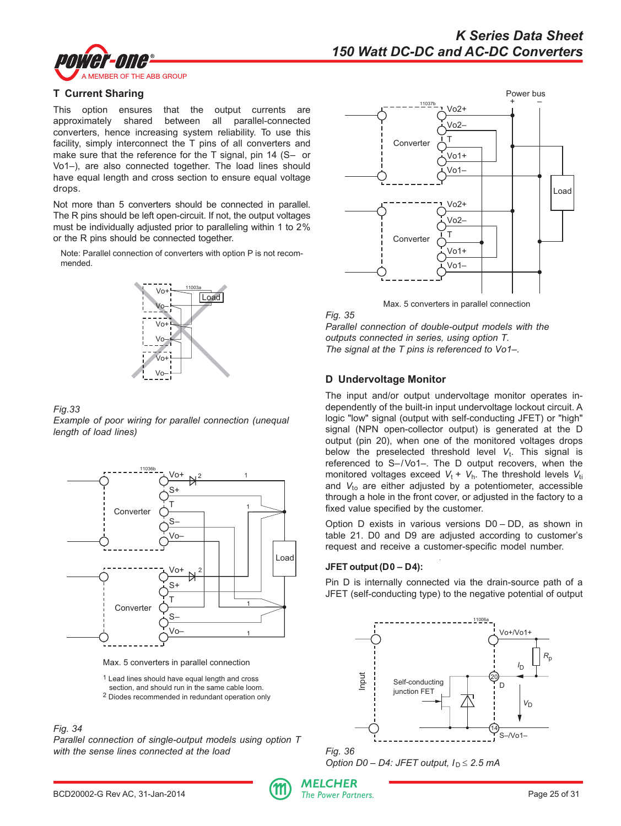![](_page_24_Picture_0.jpeg)

## **T Current Sharing**

This option ensures that the output currents are approximately shared between all parallel-connected converters, hence increasing system reliability. To use this facility, simply interconnect the T pins of all converters and make sure that the reference for the T signal, pin 14 (S- or Vo1–), are also connected together. The load lines should have equal length and cross section to ensure equal voltage drops.

Not more than 5 converters should be connected in parallel. The R pins should be left open-circuit. If not, the output voltages must be individually adjusted prior to paralleling within 1 to 2% or the R pins should be connected together.

Note: Parallel connection of converters with option P is not recommended.

![](_page_24_Figure_6.jpeg)

#### *Fig.33*

*Example of poor wiring for parallel connection (unequal length of load lines)*

![](_page_24_Figure_9.jpeg)

Max. 5 converters in parallel connection

1 Lead lines should have equal length and cross

 section, and should run in the same cable loom. 2 Diodes recommended in redundant operation only

*Parallel connection of single-output models using option T with the sense lines connected at the load*

![](_page_24_Figure_15.jpeg)

Max. 5 converters in parallel connection

*Fig. 35*

*Parallel connection of double-output models with the outputs connected in series, using option T. The signal at the T pins is referenced to Vo1–.*

# **D Undervoltage Monitor**

The input and/or output undervoltage monitor operates independently of the built-in input undervoltage lockout circuit. A logic "low" signal (output with self-conducting JFET) or "high" signal (NPN open-collector output) is generated at the D output (pin 20), when one of the monitored voltages drops below the preselected threshold level  $V_t$ . This signal is referenced to S–/Vo1–. The D output recovers, when the monitored voltages exceed  $V_t + V_h$ . The threshold levels  $V_{ti}$ and V<sub>to</sub> are either adjusted by a potentiometer, accessible through a hole in the front cover, or adjusted in the factory to a fixed value specified by the customer.

Option D exists in various versions D0 – DD, as shown in table 21. D0 and D9 are adjusted according to customer's request and receive a customer-specific model number.

# **JFET output (D0 – D4):**

Pin D is internally connected via the drain-source path of a JFET (self-conducting type) to the negative potential of output

![](_page_24_Figure_24.jpeg)

*Fig. 36 Option D0 – D4: JFET output, I*<sub>D</sub> ≤ 2.5 mA

![](_page_24_Picture_27.jpeg)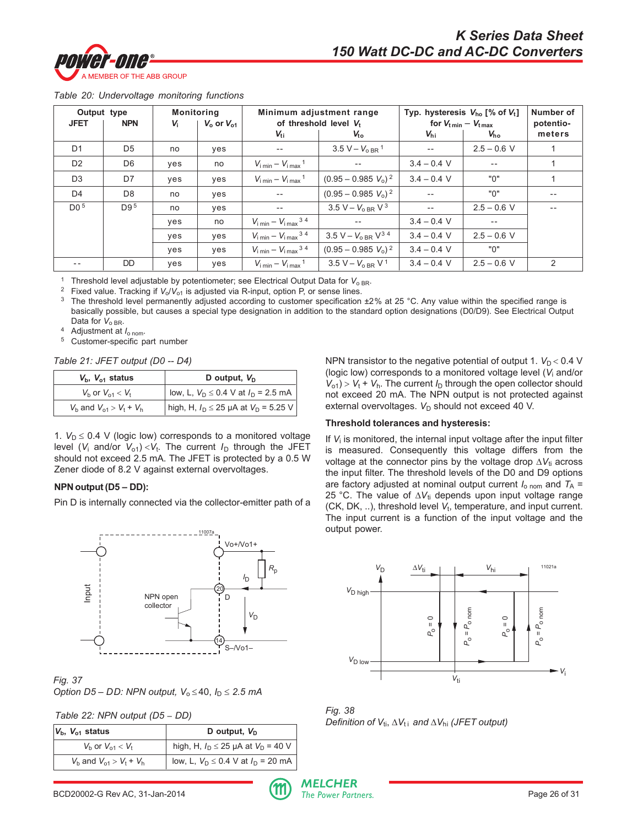![](_page_25_Picture_0.jpeg)

|  |  |  | Table 20: Undervoltage monitoring functions |  |  |
|--|--|--|---------------------------------------------|--|--|
|--|--|--|---------------------------------------------|--|--|

| Output type     |                 | <b>Monitoring</b> |                     |                                                     | Minimum adjustment range                   |                             | Typ. hysteresis $V_{ho}$ [% of $V_t$ ] |           |
|-----------------|-----------------|-------------------|---------------------|-----------------------------------------------------|--------------------------------------------|-----------------------------|----------------------------------------|-----------|
| <b>JFET</b>     | <b>NPN</b>      | V <sub>i</sub>    | $V_{o}$ or $V_{o1}$ | of threshold level V.                               |                                            | for $V_{t min} - V_{t max}$ |                                        | potentio- |
|                 |                 |                   |                     | $V_{ti}$                                            | $V_{\text{to}}$                            | $V_{\text{hi}}$             | $V_{\text{ho}}$                        | meters    |
| D <sub>1</sub>  | D <sub>5</sub>  | no                | yes                 | --                                                  | $3.5 V - V_{0RR}$ <sup>1</sup>             | $\overline{\phantom{a}}$ .  | $2.5 - 0.6$ V                          |           |
| D <sub>2</sub>  | D <sub>6</sub>  | yes               | no                  | $V_{\text{i min}} - V_{\text{i max}}$ <sup>1</sup>  | $-$                                        | $3.4 - 0.4$ V               | $-\,-$                                 |           |
| D <sub>3</sub>  | D7              | yes               | yes                 | $V_{\text{i min}} - V_{\text{i max}}$ <sup>1</sup>  | $(0.95 - 0.985 V_0)^2$                     | $3.4 - 0.4$ V               | "0"                                    |           |
| D <sub>4</sub>  | D <sub>8</sub>  | no                | yes                 | $- -$                                               | $(0.95 - 0.985 V_0)^2$                     | $-$                         | "በ"                                    | $- -$     |
| D0 <sup>5</sup> | D9 <sup>5</sup> | no                | yes                 | $- -$                                               | 3.5 V – $V_{0,BR}$ V <sup>3</sup>          | $- -$                       | $2.5 - 0.6$ V                          |           |
|                 |                 | ves               | no                  | $V_{\text{i min}} - V_{\text{i max}}$ <sup>34</sup> |                                            | $3.4 - 0.4$ V               | $- -$                                  |           |
|                 |                 | ves               | yes                 | $V_{\text{i min}} - V_{\text{i max}}$ <sup>34</sup> | 3.5 V – $V_{0 \text{ BR}}$ V <sup>34</sup> | $3.4 - 0.4$ V               | $2.5 - 0.6$ V                          |           |
|                 |                 | ves               | yes                 | $V_{\text{i min}} - V_{\text{i max}}^{34}$          | $(0.95 - 0.985 V_0)^2$                     | $3.4 - 0.4$ V               | "በ"                                    |           |
| $- -$           | DD.             | yes               | yes                 | $V_{\text{i min}} - V_{\text{i max}}$ <sup>1</sup>  | $3.5 V - V_{0RR} V^1$                      | $3.4 - 0.4$ V               | $2.5 - 0.6$ V                          | 2         |

<sup>1</sup> Threshold level adjustable by potentiometer; see Electrical Output Data for  $V_{o BR}$ .

<sup>2</sup> Fixed value. Tracking if  $V_o/V_{o1}$  is adjusted via R-input, option P, or sense lines.

<sup>3</sup> The threshold level permanently adjusted according to customer specification ±2% at 25 °C. Any value within the specified range is basically possible, but causes a special type designation in addition to the standard option designations (D0/D9). See Electrical Output Data for  $V_{O BR}$ .

<sup>4</sup> Adjustment at *I*o nom.

<sup>5</sup> Customer-specific part number

*Table 21: JFET output (D0 -- D4)*

| $V_{b}$ , $V_{c1}$ status      | D output, $V_D$                               |
|--------------------------------|-----------------------------------------------|
| $V_{h}$ or $V_{01} < V_{t}$    | low, L, $V_D \le 0.4$ V at $I_D = 2.5$ mA     |
| $V_b$ and $V_{o1} > V_t + V_h$ | high, H, $I_D \le 25 \mu A$ at $V_D = 5.25 V$ |

1.  $V_D \leq 0.4$  V (logic low) corresponds to a monitored voltage level ( $V_i$  and/or  $V_{o1}$ ) < $V_t$ . The current  $I_D$  through the JFET should not exceed 2.5 mA. The JFET is protected by a 0.5 W Zener diode of 8.2 V against external overvoltages.

#### **NPN output (D5 – DD):**

Pin D is internally connected via the collector-emitter path of a

![](_page_25_Figure_14.jpeg)

*Fig. 37 Option D5 – DD: NPN output, V*<sub>o</sub>  $\leq$  40,  $I_D \leq 2.5$  mA

|  | Table 22: NPN output (D5 - DD) |  |
|--|--------------------------------|--|
|  |                                |  |

| $V_{b}$ , $V_{o1}$ status      | D output, $V_{D}$                           |  |  |
|--------------------------------|---------------------------------------------|--|--|
| $V_{h}$ or $V_{01} < V_{t}$    | high, H, $I_D \le 25 \mu A$ at $V_D = 40 V$ |  |  |
| $V_b$ and $V_{01} > V_t + V_h$ | low, L, $V_D \le 0.4$ V at $I_D = 20$ mA    |  |  |

NPN transistor to the negative potential of output 1.  $V_D < 0.4$  V (logic low) corresponds to a monitored voltage level (*V*i and/or  $V_{01}$ ) >  $V_t$  +  $V_h$ . The current  $I_D$  through the open collector should not exceed 20 mA. The NPN output is not protected against external overvoltages. *V*<sub>D</sub> should not exceed 40 V.

#### **Threshold tolerances and hysteresis:**

If  $V_i$  is monitored, the internal input voltage after the input filter is measured. Consequently this voltage differs from the voltage at the connector pins by the voltage drop ∆*V*<sub>ti</sub> across the input filter. The threshold levels of the D0 and D9 options are factory adjusted at nominal output current  $I_{\text{o nom}}$  and  $T_{\text{A}} =$ 25 °C. The value of ∆V<sub>ti</sub> depends upon input voltage range (CK, DK, ..), threshold level  $V_t$ , temperature, and input current. The input current is a function of the input voltage and the output power.

![](_page_25_Figure_21.jpeg)

*Fig. 38 Definition of V*<sub>ti</sub>, ∆*V*<sub>ti</sub> and ∆*V*<sub>hi</sub> (*JFET output*)

BCD20002-G Rev AC, 31-Jan-2014 **Page 26 of 31** The Power Partners.

![](_page_25_Picture_24.jpeg)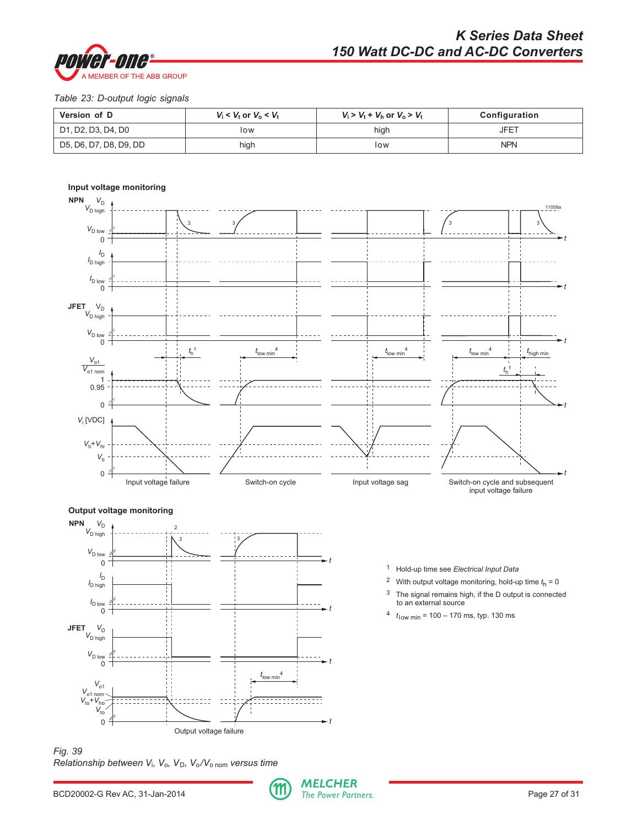![](_page_26_Picture_0.jpeg)

## *Table 23: D-output logic signals*

| Version of D           | $V_i < V_t$ or $V_o < V_t$ | $V_i > V_t + V_h$ or $V_o > V_t$ | Configuration |
|------------------------|----------------------------|----------------------------------|---------------|
| D1, D2, D3, D4, D0     | low                        | high                             | <b>JFET</b>   |
| D5, D6, D7, D8, D9, DD | high                       | low                              | <b>NPN</b>    |

![](_page_26_Figure_4.jpeg)

*Fig. 39 Relationship between V*i*, V*o*, V*D*, V*o*/V*o nom *versus time*

![](_page_26_Picture_7.jpeg)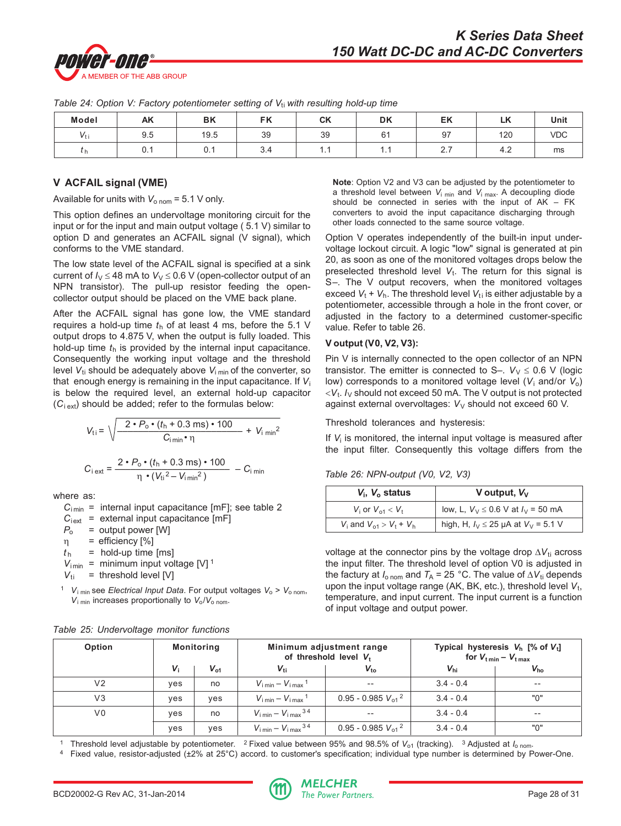![](_page_27_Picture_0.jpeg)

|              | . .  |      | ັ<br>$\cdots$ | $\overline{\phantom{a}}$ |              |            |                    |      |
|--------------|------|------|---------------|--------------------------|--------------|------------|--------------------|------|
| <b>Model</b> | AK   | BK   | EK<br>гn      | <b>CK</b>                | <b>DK</b>    | EK         | $\mathbf{z}$<br>LN | Unit |
|              | 9.5  | 19.5 | 39            | 39                       | $\mathsf{R}$ | 97         | 120                | VDC  |
| ιn           | v. I | v. 1 | ∪.¬           | .                        | .            | $\sim$ . 1 | ┱.∠                | ms   |

*Table 24: Option V: Factory potentiometer setting of V<sub>ti</sub> with resulting hold-up time* 

## **V ACFAIL signal (VME)**

Available for units with  $V_{\text{o nom}} = 5.1 \text{ V}$  only.

This option defines an undervoltage monitoring circuit for the input or for the input and main output voltage ( 5.1 V) similar to option D and generates an ACFAIL signal (V signal), which conforms to the VME standard.

The low state level of the ACFAIL signal is specified at a sink current of  $I_V \le 48$  mA to  $V_V \le 0.6$  V (open-collector output of an NPN transistor). The pull-up resistor feeding the opencollector output should be placed on the VME back plane.

After the ACFAIL signal has gone low, the VME standard requires a hold-up time  $t<sub>h</sub>$  of at least 4 ms, before the 5.1 V output drops to 4.875 V, when the output is fully loaded. This hold-up time *t*h is provided by the internal input capacitance. Consequently the working input voltage and the threshold level V<sub>ti</sub> should be adequately above V<sub>i min</sub> of the converter, so that enough energy is remaining in the input capacitance. If *V*<sup>i</sup> is below the required level, an external hold-up capacitor  $(C<sub>i ext</sub>)$  should be added; refer to the formulas below:

$$
V_{\text{ti}} = \sqrt{\frac{2 \cdot P_{\text{o}} \cdot (t_{\text{h}} + 0.3 \text{ ms}) \cdot 100}{C_{\text{imin}} \cdot \eta}} + V_{\text{i min}}^2
$$

$$
C_{\text{i ext}} = \frac{2 \cdot P_{\text{o}} \cdot (t_{\text{h}} + 0.3 \text{ ms}) \cdot 100}{\eta \cdot (V_{\text{ti}}^2 - V_{\text{imin}}^2)} - C_{\text{i min}}
$$

where as:

 $C_{\text{i}}$  = internal input capacitance [mF]; see table 2

 $C_{\text{text}}$  = external input capacitance [mF]

 $P_0$  = output power [W]

η = efficiency [%]

$$
t_{\rm h}
$$
 = hold-up time [ms]

$$
V_{\text{imin}} = \text{minimum input voltage [V]}^{1}
$$
  

$$
V_{\text{ti}} = \text{threshold level [V]}
$$

<sup>1</sup>  $V_{i \text{ min}}$  see *Electrical Input Data*. For output voltages  $V_{o} > V_{o \text{ nom}}$ , *V*<sub>i min</sub> increases proportionally to  $V_0/V_0$  nom.

| Option         | <b>Monitoring</b> |              | Minimum adjustment range<br>of threshold level V <sub>t</sub> |                         | Typical hysteresis $V_h$ [% of $V_t$ ]<br>for $V_{t min} - V_{t max}$ |                 |
|----------------|-------------------|--------------|---------------------------------------------------------------|-------------------------|-----------------------------------------------------------------------|-----------------|
|                | $V_{i}$           | $V_{\rm o1}$ | $V_{\rm ti}$                                                  | $V_{\text{to}}$         | $V_{\text{hi}}$                                                       | $V_{\text{ho}}$ |
| V <sub>2</sub> | ves               | no           | $V_{\text{limit}} - V_{\text{i max}}$ <sup>1</sup>            | $-$                     | $3.4 - 0.4$                                                           | $- -$           |
| V <sub>3</sub> | ves               | yes          | $V_{\text{limit}} - V_{\text{i max}}$ <sup>1</sup>            | $0.95 - 0.985 V_{01}^2$ | $3.4 - 0.4$                                                           | "በ"             |
| V0             | ves               | no           | $V_{\text{limit}} - V_{\text{i max}}$ <sup>34</sup>           | $- -$                   | $3.4 - 0.4$                                                           | $- -$           |
|                | ves               | yes          | $V_{\text{limit}} - V_{\text{i max}}$ <sup>34</sup>           | $0.95 - 0.985 V_{01}^2$ | $3.4 - 0.4$                                                           | "በ"             |

*Table 25: Undervoltage monitor functions*

**Note**: Option V2 and V3 can be adjusted by the potentiometer to a threshold level between  $V_{i,min}$  and  $V_{i,max}$ . A decoupling diode should be connected in series with the input of AK – FK converters to avoid the input capacitance discharging through other loads connected to the same source voltage.

Option V operates independently of the built-in input undervoltage lockout circuit. A logic "low" signal is generated at pin 20, as soon as one of the monitored voltages drops below the preselected threshold level  $V_t$ . The return for this signal is S–. The V output recovers, when the monitored voltages exceed  $V_t + V_h$ . The threshold level  $V_{ti}$  is either adjustable by a potentiometer, accessible through a hole in the front cover, or adjusted in the factory to a determined customer-specific value. Refer to table 26.

## **V output (V0, V2, V3):**

Pin V is internally connected to the open collector of an NPN transistor. The emitter is connected to S–.  $V_V \leq 0.6$  V (logic low) corresponds to a monitored voltage level (*V*i and/or *V*o)  $\langle V_t, I_V \rangle$  should not exceed 50 mA. The V output is not protected against external overvoltages:  $V_V$  should not exceed 60 V.

Threshold tolerances and hysteresis:

If V<sub>i</sub> is monitored, the internal input voltage is measured after the input filter. Consequently this voltage differs from the

*Table 26: NPN-output (V0, V2, V3)*

| $V_i$ , $V_o$ status           | V output, $V_v$                              |
|--------------------------------|----------------------------------------------|
| $V_1$ or $V_{01} < V_1$        | low, L, $V_V \le 0.6$ V at $I_V = 50$ mA     |
| $V_1$ and $V_{01} > V_1 + V_h$ | high, H, $I_V \le 25 \mu A$ at $V_V = 5.1 V$ |

voltage at the connector pins by the voltage drop ∆*V*<sub>ti</sub> across the input filter. The threshold level of option V0 is adjusted in the factury at  $I_{\text{onom}}$  and  $T_A$  = 25 °C. The value of  $\Delta V_{\text{ti}}$  depends upon the input voltage range (AK, BK, etc.), threshold level  $V_t$ , temperature, and input current. The input current is a function of input voltage and output power.

<sup>1</sup> Threshold level adjustable by potentiometer. <sup>2</sup> Fixed value between 95% and 98.5% of V<sub>o1</sub> (tracking). <sup>3</sup> Adjusted at  $I_{\text{o nom}}$ .

Fixed value, resistor-adjusted (±2% at 25°C) accord. to customer's specification; individual type number is determined by Power-One.

![](_page_27_Picture_33.jpeg)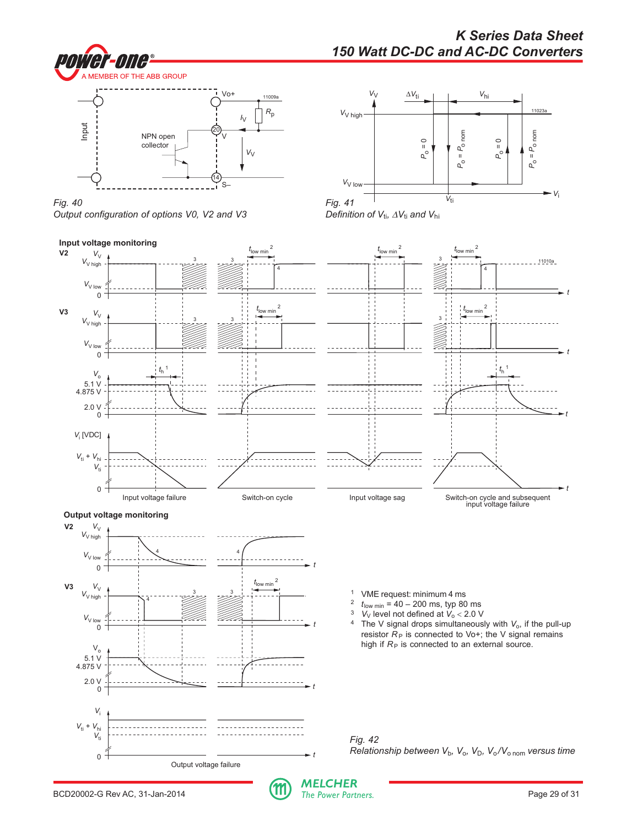![](_page_28_Picture_0.jpeg)

# *K Series Data Sheet 150 Watt DC-DC and AC-DC Converters*

![](_page_28_Figure_2.jpeg)

![](_page_28_Figure_3.jpeg)

![](_page_28_Figure_4.jpeg)

![](_page_28_Figure_5.jpeg)

![](_page_28_Figure_6.jpeg)

![](_page_28_Picture_8.jpeg)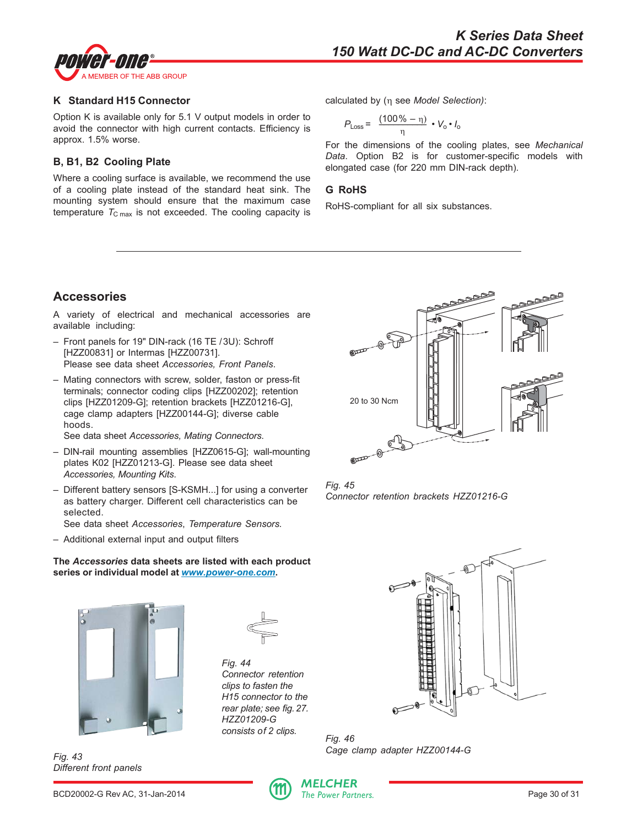<span id="page-29-0"></span>![](_page_29_Picture_0.jpeg)

#### **K Standard H15 Connector**

Option K is available only for 5.1 V output models in order to avoid the connector with high current contacts. Efficiency is approx. 1.5% worse.

## **B, B1, B2 Cooling Plate**

Where a cooling surface is available, we recommend the use of a cooling plate instead of the standard heat sink. The mounting system should ensure that the maximum case temperature  $T_{\text{C max}}$  is not exceeded. The cooling capacity is calculated by (η see *Model Selection)*:

$$
P_{\text{Loss}} = \frac{(100\% - \eta)}{\eta} \cdot V_0 \cdot I_0
$$

For the dimensions of the cooling plates, see *Mechanical Data*. Option B2 is for customer-specific models with elongated case (for 220 mm DIN-rack depth).

#### **G RoHS**

RoHS-compliant for all six substances.

# **Accessories**

A variety of electrical and mechanical accessories are available including:

- Front panels for 19" DIN-rack (16 TE /3U): Schroff [HZZ00831] or Intermas [HZZ00731]. Please see data sheet *Accessories, Front Panels*.
- Mating connectors with screw, solder, faston or press-fit terminals; connector coding clips [HZZ00202]; retention clips [HZZ01209-G]; retention brackets [HZZ01216-G], cage clamp adapters [HZZ00144-G]; diverse cable hoods.

See data sheet *Accessories, Mating Connectors*.

- DIN-rail mounting assemblies [HZZ0615-G]; wall-mounting plates K02 [HZZ01213-G]. Please see data sheet *Accessories, Mounting Kits*.
- Different battery sensors [S-KSMH...] for using a converter as battery charger. Different cell characteristics can be selected.

See data sheet *Accessories*, *Temperature Sensors.*

– Additional external input and output filters

#### **The** *Accessories* **data sheets are listed with each product series or individual model at** *www.power-one.com***.**

![](_page_29_Picture_21.jpeg)

*Fig. 43 Different front panels*

![](_page_29_Picture_23.jpeg)

*Fig. 44 Connector retention clips to fasten the H15 connector to the rear plate; see fig. 27. HZZ01209-G consists of 2 clips.*

![](_page_29_Picture_25.jpeg)

*Fig. 45 Connector retention brackets HZZ01216-G*

![](_page_29_Picture_27.jpeg)

*Fig. 46 Cage clamp adapter HZZ00144-G*

![](_page_29_Picture_30.jpeg)